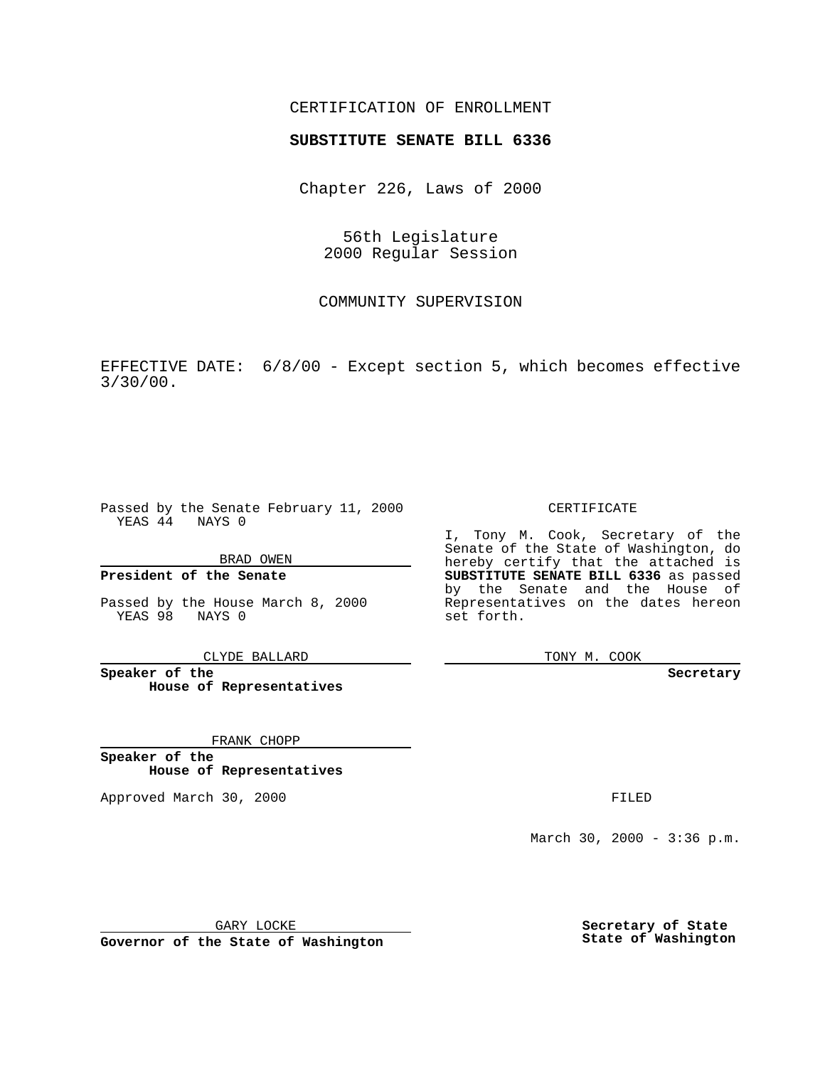### CERTIFICATION OF ENROLLMENT

# **SUBSTITUTE SENATE BILL 6336**

Chapter 226, Laws of 2000

56th Legislature 2000 Regular Session

COMMUNITY SUPERVISION

EFFECTIVE DATE: 6/8/00 - Except section 5, which becomes effective 3/30/00.

Passed by the Senate February 11, 2000 YEAS 44 NAYS 0

BRAD OWEN

**President of the Senate**

Passed by the House March 8, 2000 YEAS 98 NAYS 0

CLYDE BALLARD

**Speaker of the House of Representatives**

FRANK CHOPP

**Speaker of the House of Representatives**

Approved March 30, 2000 FILED

#### CERTIFICATE

I, Tony M. Cook, Secretary of the Senate of the State of Washington, do hereby certify that the attached is **SUBSTITUTE SENATE BILL 6336** as passed by the Senate and the House of Representatives on the dates hereon set forth.

TONY M. COOK

#### **Secretary**

March 30, 2000 - 3:36 p.m.

GARY LOCKE

**Governor of the State of Washington**

**Secretary of State State of Washington**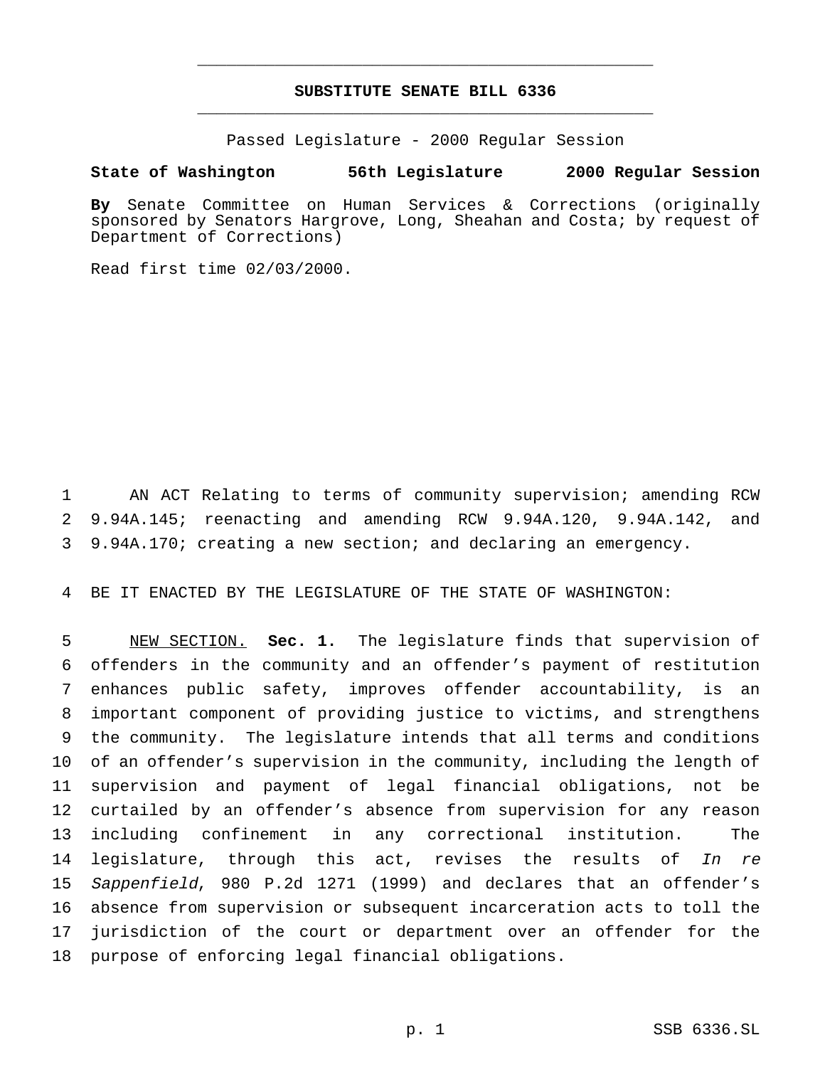## **SUBSTITUTE SENATE BILL 6336** \_\_\_\_\_\_\_\_\_\_\_\_\_\_\_\_\_\_\_\_\_\_\_\_\_\_\_\_\_\_\_\_\_\_\_\_\_\_\_\_\_\_\_\_\_\_\_

\_\_\_\_\_\_\_\_\_\_\_\_\_\_\_\_\_\_\_\_\_\_\_\_\_\_\_\_\_\_\_\_\_\_\_\_\_\_\_\_\_\_\_\_\_\_\_

Passed Legislature - 2000 Regular Session

### **State of Washington 56th Legislature 2000 Regular Session**

**By** Senate Committee on Human Services & Corrections (originally sponsored by Senators Hargrove, Long, Sheahan and Costa; by request of Department of Corrections)

Read first time 02/03/2000.

1 AN ACT Relating to terms of community supervision; amending RCW 2 9.94A.145; reenacting and amending RCW 9.94A.120, 9.94A.142, and 3 9.94A.170; creating a new section; and declaring an emergency.

4 BE IT ENACTED BY THE LEGISLATURE OF THE STATE OF WASHINGTON:

 NEW SECTION. **Sec. 1.** The legislature finds that supervision of offenders in the community and an offender's payment of restitution enhances public safety, improves offender accountability, is an important component of providing justice to victims, and strengthens the community. The legislature intends that all terms and conditions of an offender's supervision in the community, including the length of supervision and payment of legal financial obligations, not be curtailed by an offender's absence from supervision for any reason including confinement in any correctional institution. The 14 legislature, through this act, revises the results of In re 15 Sappenfield, 980 P.2d 1271 (1999) and declares that an offender's absence from supervision or subsequent incarceration acts to toll the jurisdiction of the court or department over an offender for the purpose of enforcing legal financial obligations.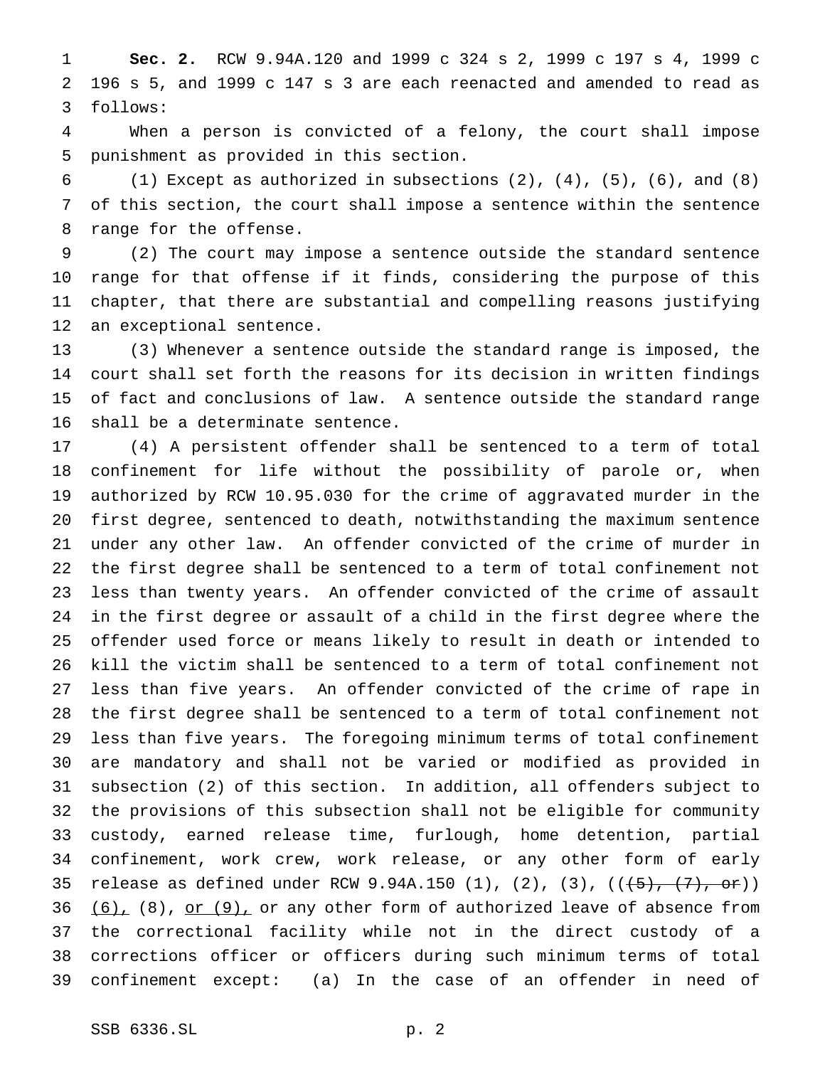**Sec. 2.** RCW 9.94A.120 and 1999 c 324 s 2, 1999 c 197 s 4, 1999 c 196 s 5, and 1999 c 147 s 3 are each reenacted and amended to read as follows:

 When a person is convicted of a felony, the court shall impose punishment as provided in this section.

 (1) Except as authorized in subsections (2), (4), (5), (6), and (8) of this section, the court shall impose a sentence within the sentence range for the offense.

 (2) The court may impose a sentence outside the standard sentence range for that offense if it finds, considering the purpose of this chapter, that there are substantial and compelling reasons justifying an exceptional sentence.

 (3) Whenever a sentence outside the standard range is imposed, the court shall set forth the reasons for its decision in written findings of fact and conclusions of law. A sentence outside the standard range shall be a determinate sentence.

 (4) A persistent offender shall be sentenced to a term of total confinement for life without the possibility of parole or, when authorized by RCW 10.95.030 for the crime of aggravated murder in the first degree, sentenced to death, notwithstanding the maximum sentence under any other law. An offender convicted of the crime of murder in the first degree shall be sentenced to a term of total confinement not less than twenty years. An offender convicted of the crime of assault in the first degree or assault of a child in the first degree where the offender used force or means likely to result in death or intended to kill the victim shall be sentenced to a term of total confinement not less than five years. An offender convicted of the crime of rape in the first degree shall be sentenced to a term of total confinement not less than five years. The foregoing minimum terms of total confinement are mandatory and shall not be varied or modified as provided in subsection (2) of this section. In addition, all offenders subject to the provisions of this subsection shall not be eligible for community custody, earned release time, furlough, home detention, partial confinement, work crew, work release, or any other form of early 35 release as defined under RCW 9.94A.150 (1), (2), (3),  $((\frac{1}{5}, \frac{7}{5}, \frac{6}{5})$   $(6)$ ,  $(8)$ , or  $(9)$ , or any other form of authorized leave of absence from the correctional facility while not in the direct custody of a corrections officer or officers during such minimum terms of total confinement except: (a) In the case of an offender in need of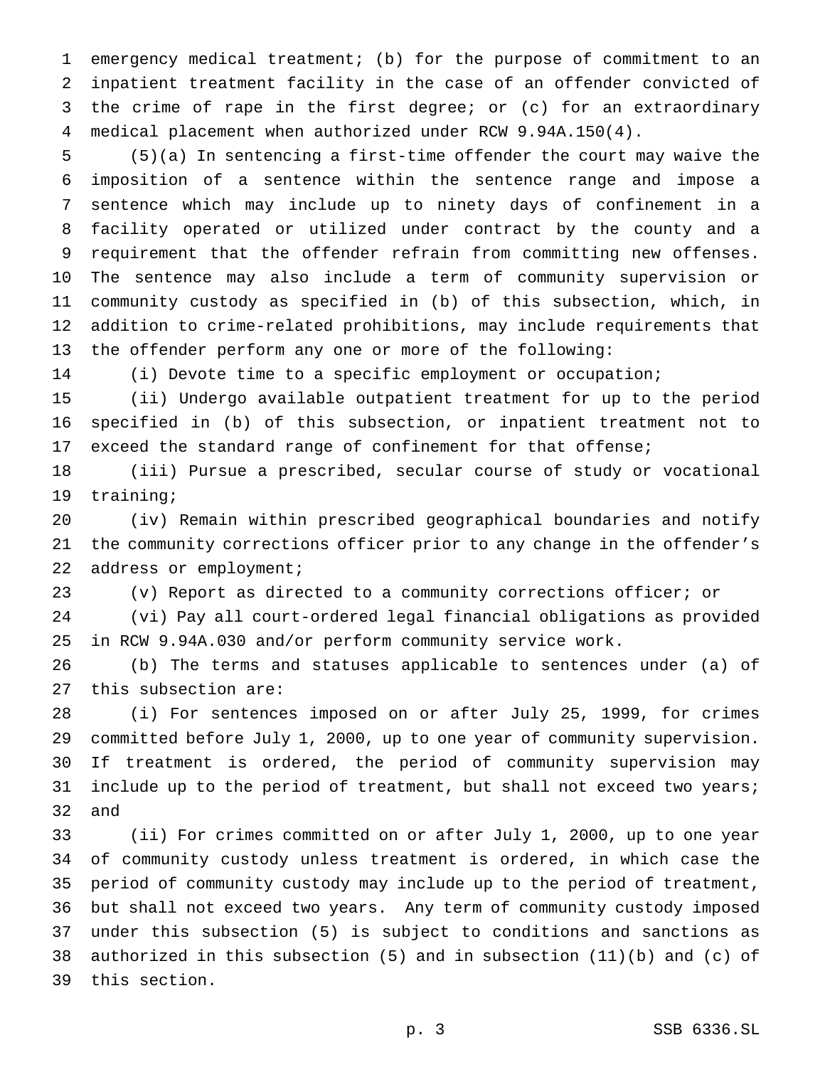emergency medical treatment; (b) for the purpose of commitment to an inpatient treatment facility in the case of an offender convicted of the crime of rape in the first degree; or (c) for an extraordinary medical placement when authorized under RCW 9.94A.150(4).

 (5)(a) In sentencing a first-time offender the court may waive the imposition of a sentence within the sentence range and impose a sentence which may include up to ninety days of confinement in a facility operated or utilized under contract by the county and a requirement that the offender refrain from committing new offenses. The sentence may also include a term of community supervision or community custody as specified in (b) of this subsection, which, in addition to crime-related prohibitions, may include requirements that the offender perform any one or more of the following:

(i) Devote time to a specific employment or occupation;

 (ii) Undergo available outpatient treatment for up to the period specified in (b) of this subsection, or inpatient treatment not to exceed the standard range of confinement for that offense;

 (iii) Pursue a prescribed, secular course of study or vocational training;

 (iv) Remain within prescribed geographical boundaries and notify the community corrections officer prior to any change in the offender's address or employment;

(v) Report as directed to a community corrections officer; or

 (vi) Pay all court-ordered legal financial obligations as provided in RCW 9.94A.030 and/or perform community service work.

 (b) The terms and statuses applicable to sentences under (a) of this subsection are:

 (i) For sentences imposed on or after July 25, 1999, for crimes committed before July 1, 2000, up to one year of community supervision. If treatment is ordered, the period of community supervision may 31 include up to the period of treatment, but shall not exceed two years; and

 (ii) For crimes committed on or after July 1, 2000, up to one year of community custody unless treatment is ordered, in which case the period of community custody may include up to the period of treatment, but shall not exceed two years. Any term of community custody imposed under this subsection (5) is subject to conditions and sanctions as authorized in this subsection (5) and in subsection (11)(b) and (c) of this section.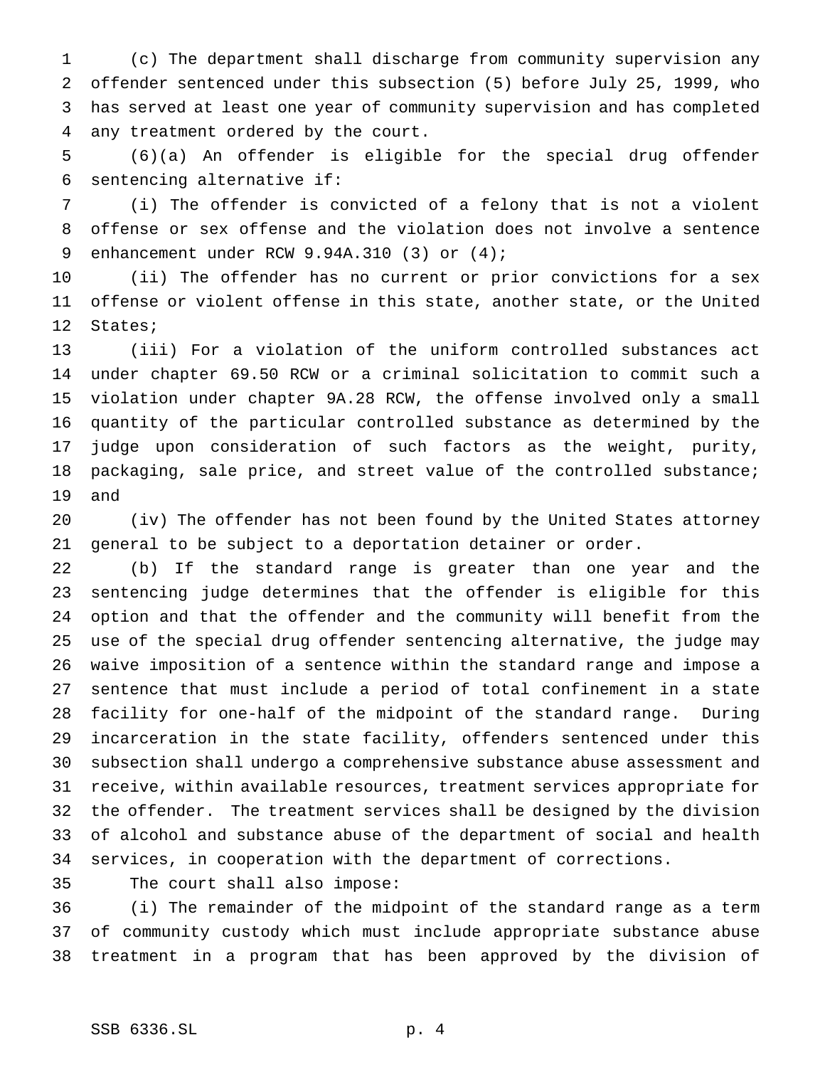(c) The department shall discharge from community supervision any offender sentenced under this subsection (5) before July 25, 1999, who has served at least one year of community supervision and has completed any treatment ordered by the court.

 (6)(a) An offender is eligible for the special drug offender sentencing alternative if:

 (i) The offender is convicted of a felony that is not a violent offense or sex offense and the violation does not involve a sentence 9 enhancement under RCW 9.94A.310 (3) or (4);

 (ii) The offender has no current or prior convictions for a sex offense or violent offense in this state, another state, or the United States;

 (iii) For a violation of the uniform controlled substances act under chapter 69.50 RCW or a criminal solicitation to commit such a violation under chapter 9A.28 RCW, the offense involved only a small quantity of the particular controlled substance as determined by the judge upon consideration of such factors as the weight, purity, packaging, sale price, and street value of the controlled substance; and

 (iv) The offender has not been found by the United States attorney general to be subject to a deportation detainer or order.

 (b) If the standard range is greater than one year and the sentencing judge determines that the offender is eligible for this option and that the offender and the community will benefit from the use of the special drug offender sentencing alternative, the judge may waive imposition of a sentence within the standard range and impose a sentence that must include a period of total confinement in a state facility for one-half of the midpoint of the standard range. During incarceration in the state facility, offenders sentenced under this subsection shall undergo a comprehensive substance abuse assessment and receive, within available resources, treatment services appropriate for the offender. The treatment services shall be designed by the division of alcohol and substance abuse of the department of social and health services, in cooperation with the department of corrections.

The court shall also impose:

 (i) The remainder of the midpoint of the standard range as a term of community custody which must include appropriate substance abuse treatment in a program that has been approved by the division of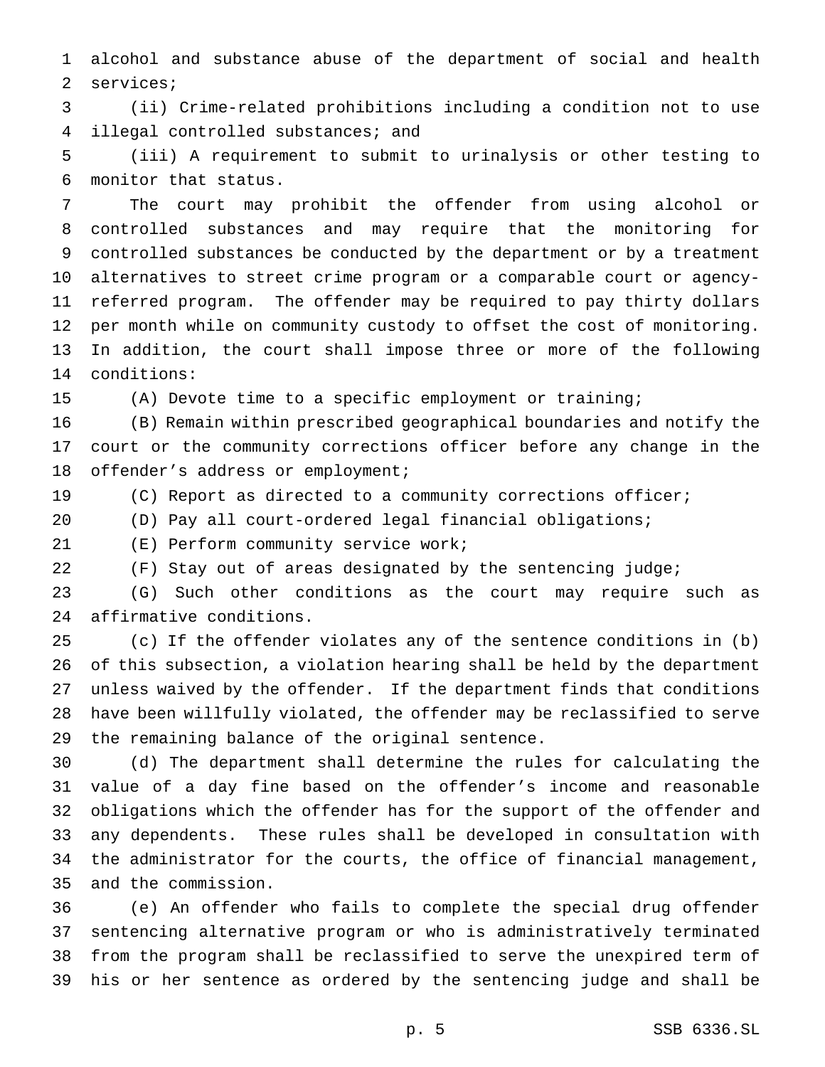alcohol and substance abuse of the department of social and health services;

 (ii) Crime-related prohibitions including a condition not to use illegal controlled substances; and

 (iii) A requirement to submit to urinalysis or other testing to monitor that status.

 The court may prohibit the offender from using alcohol or controlled substances and may require that the monitoring for controlled substances be conducted by the department or by a treatment alternatives to street crime program or a comparable court or agency- referred program. The offender may be required to pay thirty dollars per month while on community custody to offset the cost of monitoring. In addition, the court shall impose three or more of the following conditions:

(A) Devote time to a specific employment or training;

 (B) Remain within prescribed geographical boundaries and notify the court or the community corrections officer before any change in the offender's address or employment;

(C) Report as directed to a community corrections officer;

(D) Pay all court-ordered legal financial obligations;

(E) Perform community service work;

(F) Stay out of areas designated by the sentencing judge;

 (G) Such other conditions as the court may require such as affirmative conditions.

 (c) If the offender violates any of the sentence conditions in (b) of this subsection, a violation hearing shall be held by the department unless waived by the offender. If the department finds that conditions have been willfully violated, the offender may be reclassified to serve the remaining balance of the original sentence.

 (d) The department shall determine the rules for calculating the value of a day fine based on the offender's income and reasonable obligations which the offender has for the support of the offender and any dependents. These rules shall be developed in consultation with the administrator for the courts, the office of financial management, and the commission.

 (e) An offender who fails to complete the special drug offender sentencing alternative program or who is administratively terminated from the program shall be reclassified to serve the unexpired term of his or her sentence as ordered by the sentencing judge and shall be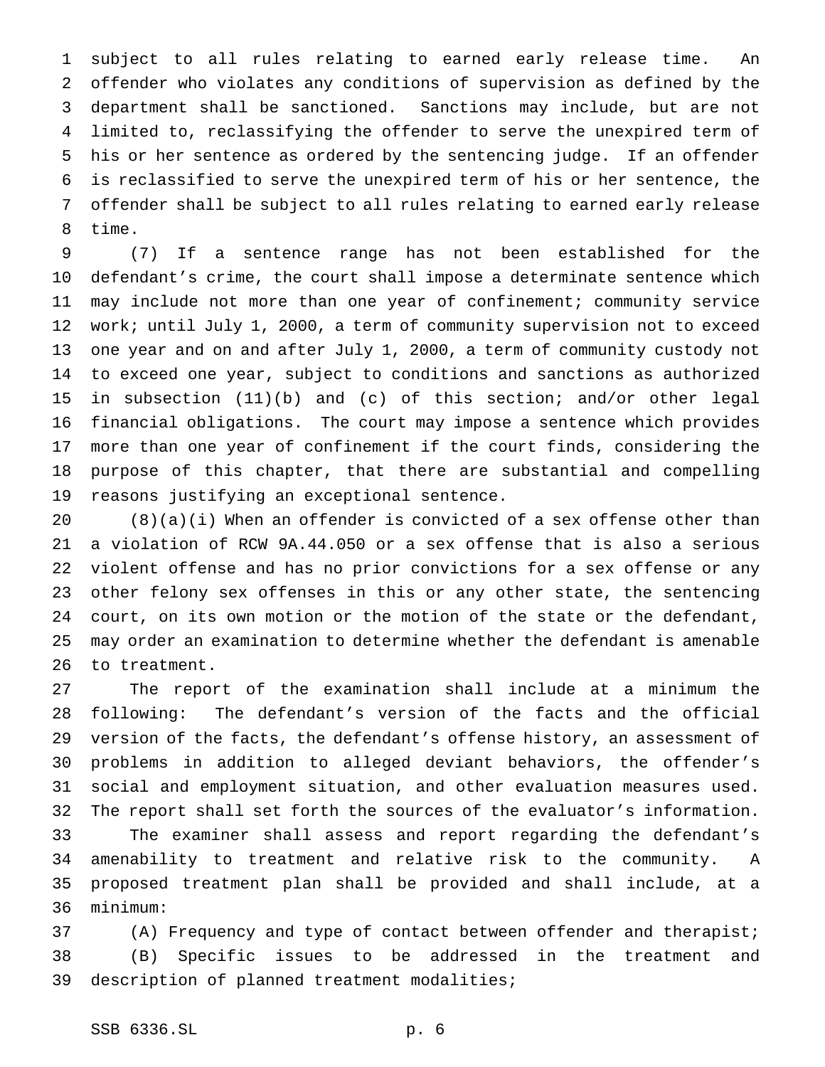subject to all rules relating to earned early release time. An offender who violates any conditions of supervision as defined by the department shall be sanctioned. Sanctions may include, but are not limited to, reclassifying the offender to serve the unexpired term of his or her sentence as ordered by the sentencing judge. If an offender is reclassified to serve the unexpired term of his or her sentence, the offender shall be subject to all rules relating to earned early release time.

 (7) If a sentence range has not been established for the defendant's crime, the court shall impose a determinate sentence which may include not more than one year of confinement; community service work; until July 1, 2000, a term of community supervision not to exceed one year and on and after July 1, 2000, a term of community custody not to exceed one year, subject to conditions and sanctions as authorized in subsection (11)(b) and (c) of this section; and/or other legal financial obligations. The court may impose a sentence which provides more than one year of confinement if the court finds, considering the purpose of this chapter, that there are substantial and compelling reasons justifying an exceptional sentence.

 (8)(a)(i) When an offender is convicted of a sex offense other than a violation of RCW 9A.44.050 or a sex offense that is also a serious violent offense and has no prior convictions for a sex offense or any other felony sex offenses in this or any other state, the sentencing court, on its own motion or the motion of the state or the defendant, may order an examination to determine whether the defendant is amenable to treatment.

 The report of the examination shall include at a minimum the following: The defendant's version of the facts and the official version of the facts, the defendant's offense history, an assessment of problems in addition to alleged deviant behaviors, the offender's social and employment situation, and other evaluation measures used. The report shall set forth the sources of the evaluator's information. The examiner shall assess and report regarding the defendant's amenability to treatment and relative risk to the community. A proposed treatment plan shall be provided and shall include, at a minimum:

 (A) Frequency and type of contact between offender and therapist; (B) Specific issues to be addressed in the treatment and description of planned treatment modalities;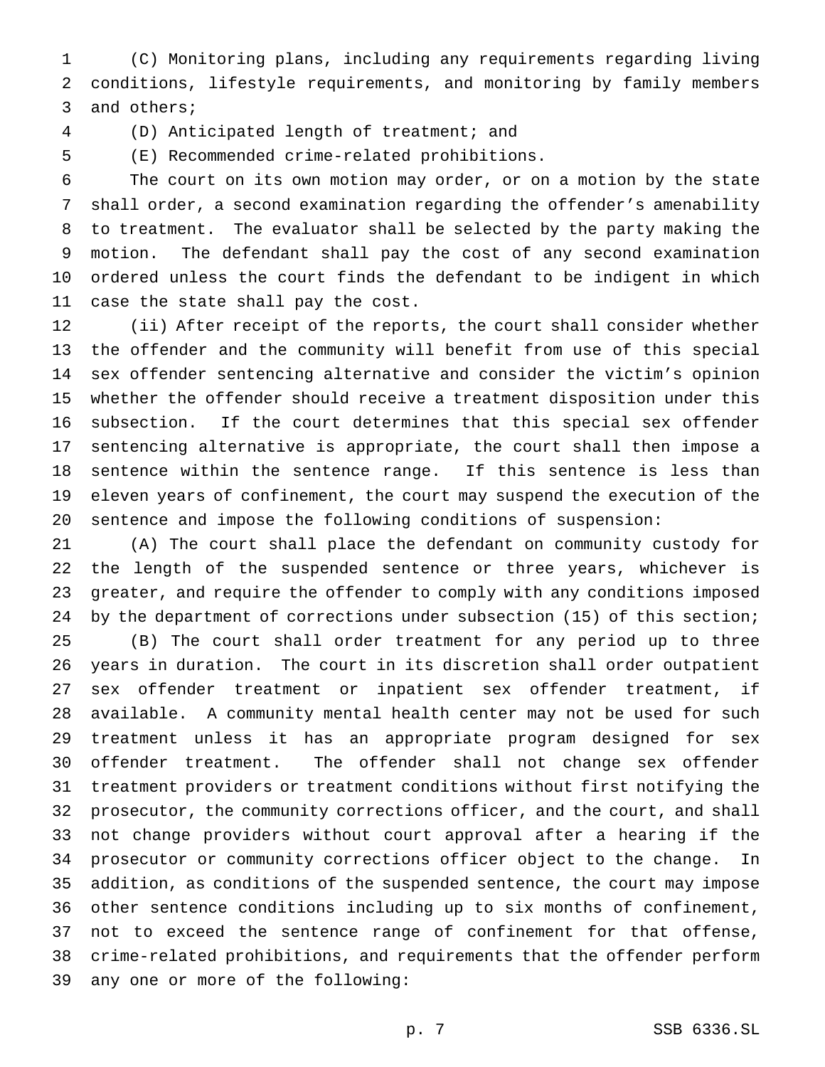(C) Monitoring plans, including any requirements regarding living conditions, lifestyle requirements, and monitoring by family members and others;

(D) Anticipated length of treatment; and

(E) Recommended crime-related prohibitions.

 The court on its own motion may order, or on a motion by the state shall order, a second examination regarding the offender's amenability to treatment. The evaluator shall be selected by the party making the motion. The defendant shall pay the cost of any second examination ordered unless the court finds the defendant to be indigent in which case the state shall pay the cost.

 (ii) After receipt of the reports, the court shall consider whether the offender and the community will benefit from use of this special sex offender sentencing alternative and consider the victim's opinion whether the offender should receive a treatment disposition under this subsection. If the court determines that this special sex offender sentencing alternative is appropriate, the court shall then impose a sentence within the sentence range. If this sentence is less than eleven years of confinement, the court may suspend the execution of the sentence and impose the following conditions of suspension:

 (A) The court shall place the defendant on community custody for the length of the suspended sentence or three years, whichever is greater, and require the offender to comply with any conditions imposed by the department of corrections under subsection (15) of this section; (B) The court shall order treatment for any period up to three years in duration. The court in its discretion shall order outpatient sex offender treatment or inpatient sex offender treatment, if available. A community mental health center may not be used for such treatment unless it has an appropriate program designed for sex offender treatment. The offender shall not change sex offender treatment providers or treatment conditions without first notifying the prosecutor, the community corrections officer, and the court, and shall not change providers without court approval after a hearing if the prosecutor or community corrections officer object to the change. In addition, as conditions of the suspended sentence, the court may impose other sentence conditions including up to six months of confinement, not to exceed the sentence range of confinement for that offense, crime-related prohibitions, and requirements that the offender perform any one or more of the following: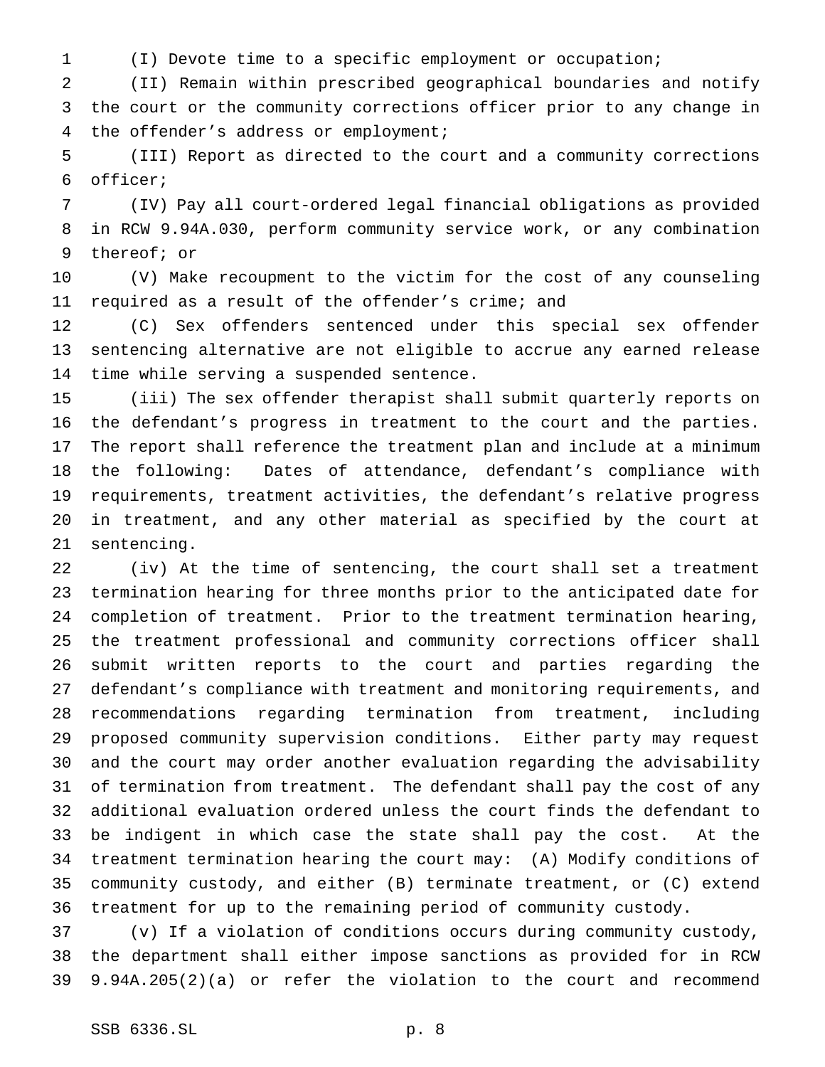(I) Devote time to a specific employment or occupation;

 (II) Remain within prescribed geographical boundaries and notify the court or the community corrections officer prior to any change in the offender's address or employment;

 (III) Report as directed to the court and a community corrections officer;

 (IV) Pay all court-ordered legal financial obligations as provided in RCW 9.94A.030, perform community service work, or any combination thereof; or

 (V) Make recoupment to the victim for the cost of any counseling required as a result of the offender's crime; and

 (C) Sex offenders sentenced under this special sex offender sentencing alternative are not eligible to accrue any earned release time while serving a suspended sentence.

 (iii) The sex offender therapist shall submit quarterly reports on the defendant's progress in treatment to the court and the parties. The report shall reference the treatment plan and include at a minimum the following: Dates of attendance, defendant's compliance with requirements, treatment activities, the defendant's relative progress in treatment, and any other material as specified by the court at sentencing.

 (iv) At the time of sentencing, the court shall set a treatment termination hearing for three months prior to the anticipated date for completion of treatment. Prior to the treatment termination hearing, the treatment professional and community corrections officer shall submit written reports to the court and parties regarding the defendant's compliance with treatment and monitoring requirements, and recommendations regarding termination from treatment, including proposed community supervision conditions. Either party may request and the court may order another evaluation regarding the advisability of termination from treatment. The defendant shall pay the cost of any additional evaluation ordered unless the court finds the defendant to be indigent in which case the state shall pay the cost. At the treatment termination hearing the court may: (A) Modify conditions of community custody, and either (B) terminate treatment, or (C) extend treatment for up to the remaining period of community custody.

 (v) If a violation of conditions occurs during community custody, the department shall either impose sanctions as provided for in RCW 9.94A.205(2)(a) or refer the violation to the court and recommend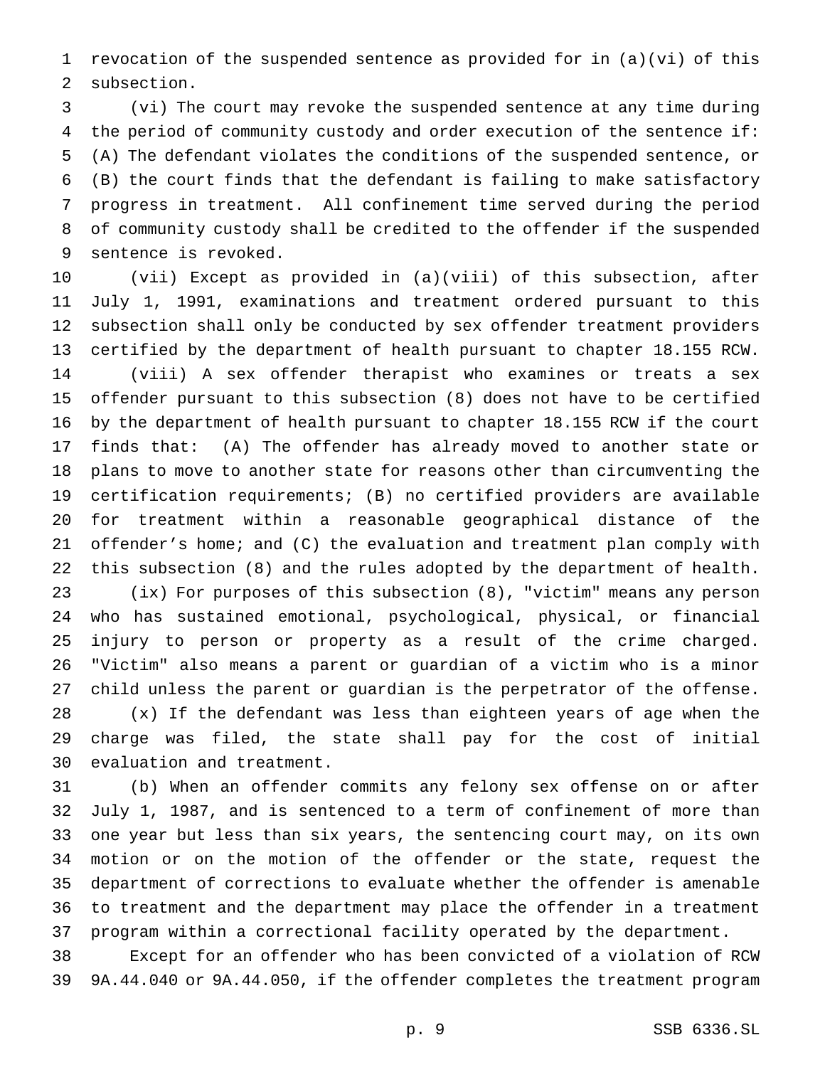revocation of the suspended sentence as provided for in (a)(vi) of this subsection.

 (vi) The court may revoke the suspended sentence at any time during the period of community custody and order execution of the sentence if: (A) The defendant violates the conditions of the suspended sentence, or (B) the court finds that the defendant is failing to make satisfactory progress in treatment. All confinement time served during the period of community custody shall be credited to the offender if the suspended sentence is revoked.

 (vii) Except as provided in (a)(viii) of this subsection, after July 1, 1991, examinations and treatment ordered pursuant to this subsection shall only be conducted by sex offender treatment providers certified by the department of health pursuant to chapter 18.155 RCW. (viii) A sex offender therapist who examines or treats a sex offender pursuant to this subsection (8) does not have to be certified by the department of health pursuant to chapter 18.155 RCW if the court finds that: (A) The offender has already moved to another state or plans to move to another state for reasons other than circumventing the certification requirements; (B) no certified providers are available for treatment within a reasonable geographical distance of the offender's home; and (C) the evaluation and treatment plan comply with this subsection (8) and the rules adopted by the department of health. (ix) For purposes of this subsection (8), "victim" means any person who has sustained emotional, psychological, physical, or financial

 injury to person or property as a result of the crime charged. "Victim" also means a parent or guardian of a victim who is a minor child unless the parent or guardian is the perpetrator of the offense. (x) If the defendant was less than eighteen years of age when the charge was filed, the state shall pay for the cost of initial evaluation and treatment.

 (b) When an offender commits any felony sex offense on or after July 1, 1987, and is sentenced to a term of confinement of more than one year but less than six years, the sentencing court may, on its own motion or on the motion of the offender or the state, request the department of corrections to evaluate whether the offender is amenable to treatment and the department may place the offender in a treatment program within a correctional facility operated by the department.

 Except for an offender who has been convicted of a violation of RCW 9A.44.040 or 9A.44.050, if the offender completes the treatment program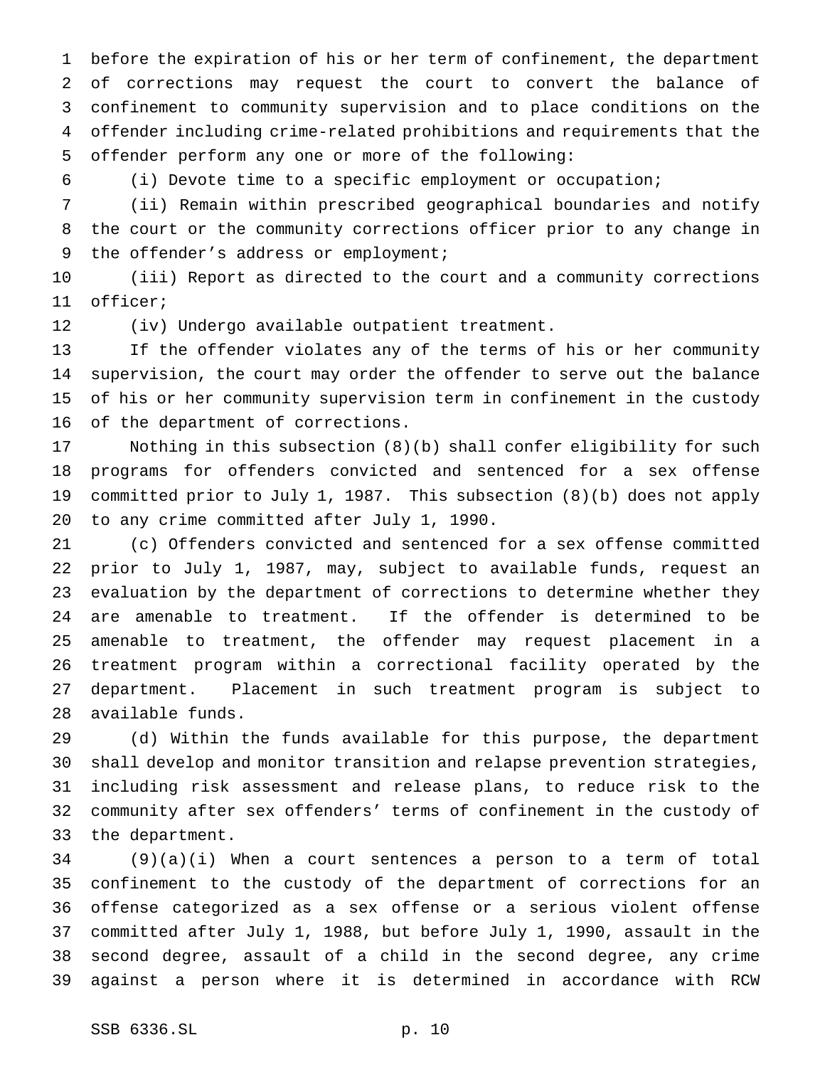before the expiration of his or her term of confinement, the department of corrections may request the court to convert the balance of confinement to community supervision and to place conditions on the offender including crime-related prohibitions and requirements that the offender perform any one or more of the following:

(i) Devote time to a specific employment or occupation;

 (ii) Remain within prescribed geographical boundaries and notify the court or the community corrections officer prior to any change in 9 the offender's address or employment;

 (iii) Report as directed to the court and a community corrections officer;

(iv) Undergo available outpatient treatment.

 If the offender violates any of the terms of his or her community supervision, the court may order the offender to serve out the balance of his or her community supervision term in confinement in the custody of the department of corrections.

 Nothing in this subsection (8)(b) shall confer eligibility for such programs for offenders convicted and sentenced for a sex offense committed prior to July 1, 1987. This subsection (8)(b) does not apply to any crime committed after July 1, 1990.

 (c) Offenders convicted and sentenced for a sex offense committed prior to July 1, 1987, may, subject to available funds, request an evaluation by the department of corrections to determine whether they are amenable to treatment. If the offender is determined to be amenable to treatment, the offender may request placement in a treatment program within a correctional facility operated by the department. Placement in such treatment program is subject to available funds.

 (d) Within the funds available for this purpose, the department shall develop and monitor transition and relapse prevention strategies, including risk assessment and release plans, to reduce risk to the community after sex offenders' terms of confinement in the custody of the department.

 (9)(a)(i) When a court sentences a person to a term of total confinement to the custody of the department of corrections for an offense categorized as a sex offense or a serious violent offense committed after July 1, 1988, but before July 1, 1990, assault in the second degree, assault of a child in the second degree, any crime against a person where it is determined in accordance with RCW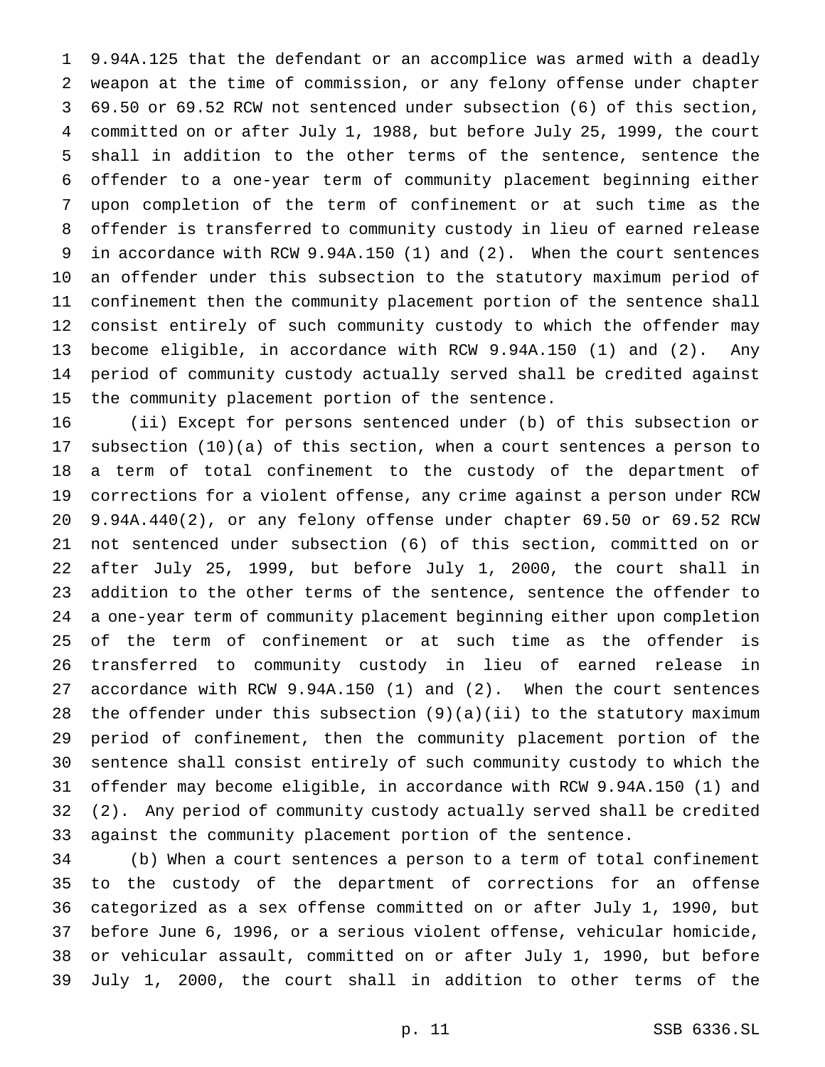9.94A.125 that the defendant or an accomplice was armed with a deadly weapon at the time of commission, or any felony offense under chapter 69.50 or 69.52 RCW not sentenced under subsection (6) of this section, committed on or after July 1, 1988, but before July 25, 1999, the court shall in addition to the other terms of the sentence, sentence the offender to a one-year term of community placement beginning either upon completion of the term of confinement or at such time as the offender is transferred to community custody in lieu of earned release in accordance with RCW 9.94A.150 (1) and (2). When the court sentences an offender under this subsection to the statutory maximum period of confinement then the community placement portion of the sentence shall consist entirely of such community custody to which the offender may become eligible, in accordance with RCW 9.94A.150 (1) and (2). Any period of community custody actually served shall be credited against the community placement portion of the sentence.

 (ii) Except for persons sentenced under (b) of this subsection or subsection (10)(a) of this section, when a court sentences a person to a term of total confinement to the custody of the department of corrections for a violent offense, any crime against a person under RCW 9.94A.440(2), or any felony offense under chapter 69.50 or 69.52 RCW not sentenced under subsection (6) of this section, committed on or after July 25, 1999, but before July 1, 2000, the court shall in addition to the other terms of the sentence, sentence the offender to a one-year term of community placement beginning either upon completion of the term of confinement or at such time as the offender is transferred to community custody in lieu of earned release in accordance with RCW 9.94A.150 (1) and (2). When the court sentences the offender under this subsection (9)(a)(ii) to the statutory maximum period of confinement, then the community placement portion of the sentence shall consist entirely of such community custody to which the offender may become eligible, in accordance with RCW 9.94A.150 (1) and (2). Any period of community custody actually served shall be credited against the community placement portion of the sentence.

 (b) When a court sentences a person to a term of total confinement to the custody of the department of corrections for an offense categorized as a sex offense committed on or after July 1, 1990, but before June 6, 1996, or a serious violent offense, vehicular homicide, or vehicular assault, committed on or after July 1, 1990, but before July 1, 2000, the court shall in addition to other terms of the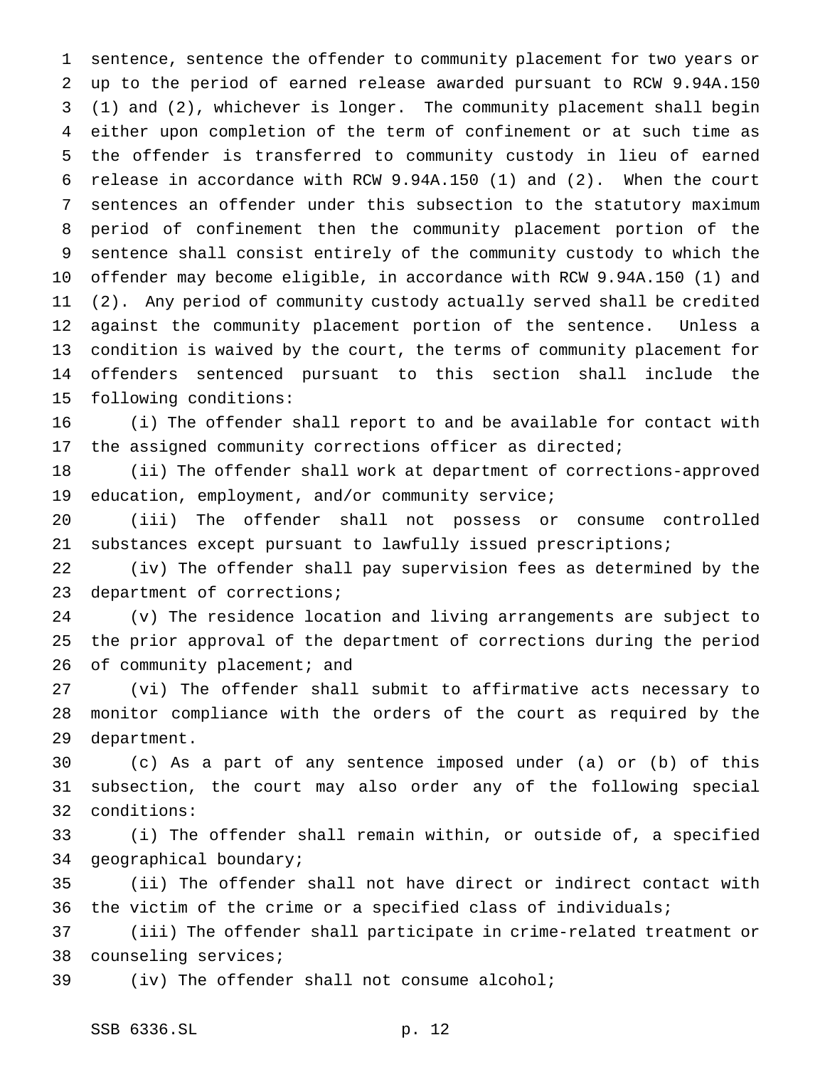sentence, sentence the offender to community placement for two years or up to the period of earned release awarded pursuant to RCW 9.94A.150 (1) and (2), whichever is longer. The community placement shall begin either upon completion of the term of confinement or at such time as the offender is transferred to community custody in lieu of earned release in accordance with RCW 9.94A.150 (1) and (2). When the court sentences an offender under this subsection to the statutory maximum period of confinement then the community placement portion of the sentence shall consist entirely of the community custody to which the offender may become eligible, in accordance with RCW 9.94A.150 (1) and (2). Any period of community custody actually served shall be credited against the community placement portion of the sentence. Unless a condition is waived by the court, the terms of community placement for offenders sentenced pursuant to this section shall include the following conditions:

 (i) The offender shall report to and be available for contact with the assigned community corrections officer as directed;

 (ii) The offender shall work at department of corrections-approved education, employment, and/or community service;

 (iii) The offender shall not possess or consume controlled substances except pursuant to lawfully issued prescriptions;

 (iv) The offender shall pay supervision fees as determined by the department of corrections;

 (v) The residence location and living arrangements are subject to the prior approval of the department of corrections during the period 26 of community placement; and

 (vi) The offender shall submit to affirmative acts necessary to monitor compliance with the orders of the court as required by the department.

 (c) As a part of any sentence imposed under (a) or (b) of this subsection, the court may also order any of the following special conditions:

 (i) The offender shall remain within, or outside of, a specified geographical boundary;

 (ii) The offender shall not have direct or indirect contact with the victim of the crime or a specified class of individuals;

 (iii) The offender shall participate in crime-related treatment or counseling services;

(iv) The offender shall not consume alcohol;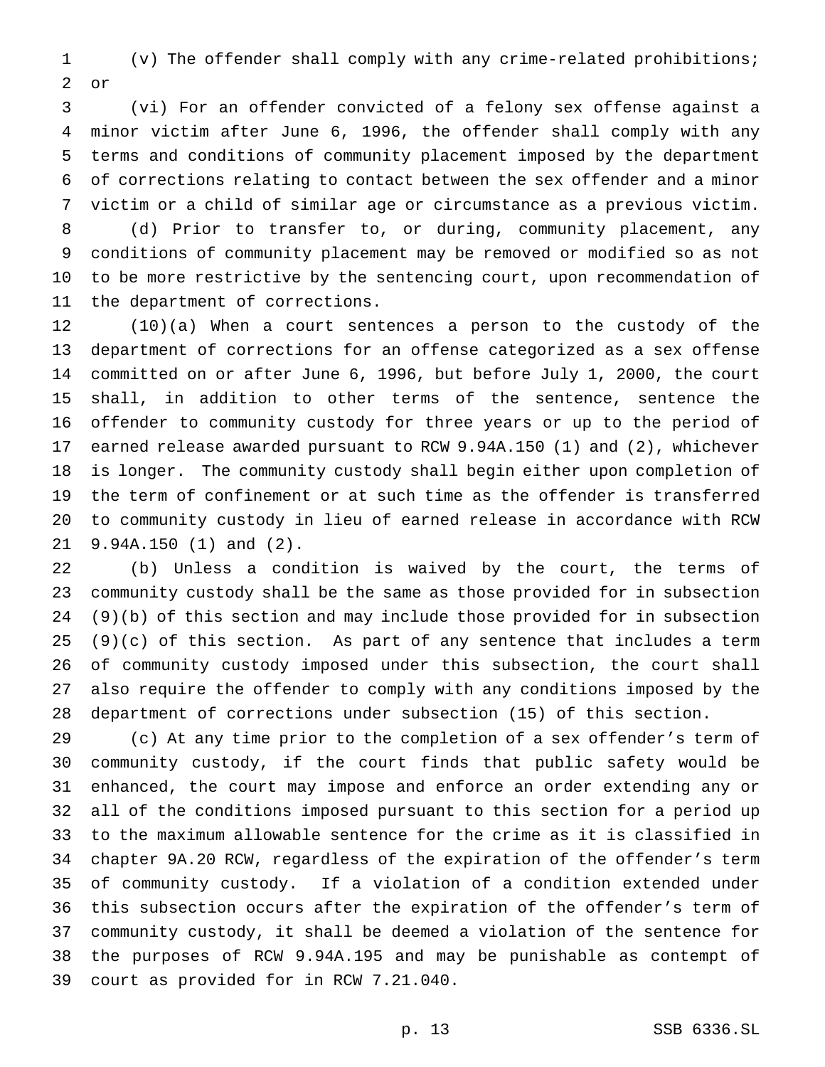(v) The offender shall comply with any crime-related prohibitions; or

 (vi) For an offender convicted of a felony sex offense against a minor victim after June 6, 1996, the offender shall comply with any terms and conditions of community placement imposed by the department of corrections relating to contact between the sex offender and a minor victim or a child of similar age or circumstance as a previous victim.

 (d) Prior to transfer to, or during, community placement, any conditions of community placement may be removed or modified so as not to be more restrictive by the sentencing court, upon recommendation of the department of corrections.

 (10)(a) When a court sentences a person to the custody of the department of corrections for an offense categorized as a sex offense committed on or after June 6, 1996, but before July 1, 2000, the court shall, in addition to other terms of the sentence, sentence the offender to community custody for three years or up to the period of earned release awarded pursuant to RCW 9.94A.150 (1) and (2), whichever is longer. The community custody shall begin either upon completion of the term of confinement or at such time as the offender is transferred to community custody in lieu of earned release in accordance with RCW 9.94A.150 (1) and (2).

 (b) Unless a condition is waived by the court, the terms of community custody shall be the same as those provided for in subsection (9)(b) of this section and may include those provided for in subsection (9)(c) of this section. As part of any sentence that includes a term of community custody imposed under this subsection, the court shall also require the offender to comply with any conditions imposed by the department of corrections under subsection (15) of this section.

 (c) At any time prior to the completion of a sex offender's term of community custody, if the court finds that public safety would be enhanced, the court may impose and enforce an order extending any or all of the conditions imposed pursuant to this section for a period up to the maximum allowable sentence for the crime as it is classified in chapter 9A.20 RCW, regardless of the expiration of the offender's term of community custody. If a violation of a condition extended under this subsection occurs after the expiration of the offender's term of community custody, it shall be deemed a violation of the sentence for the purposes of RCW 9.94A.195 and may be punishable as contempt of court as provided for in RCW 7.21.040.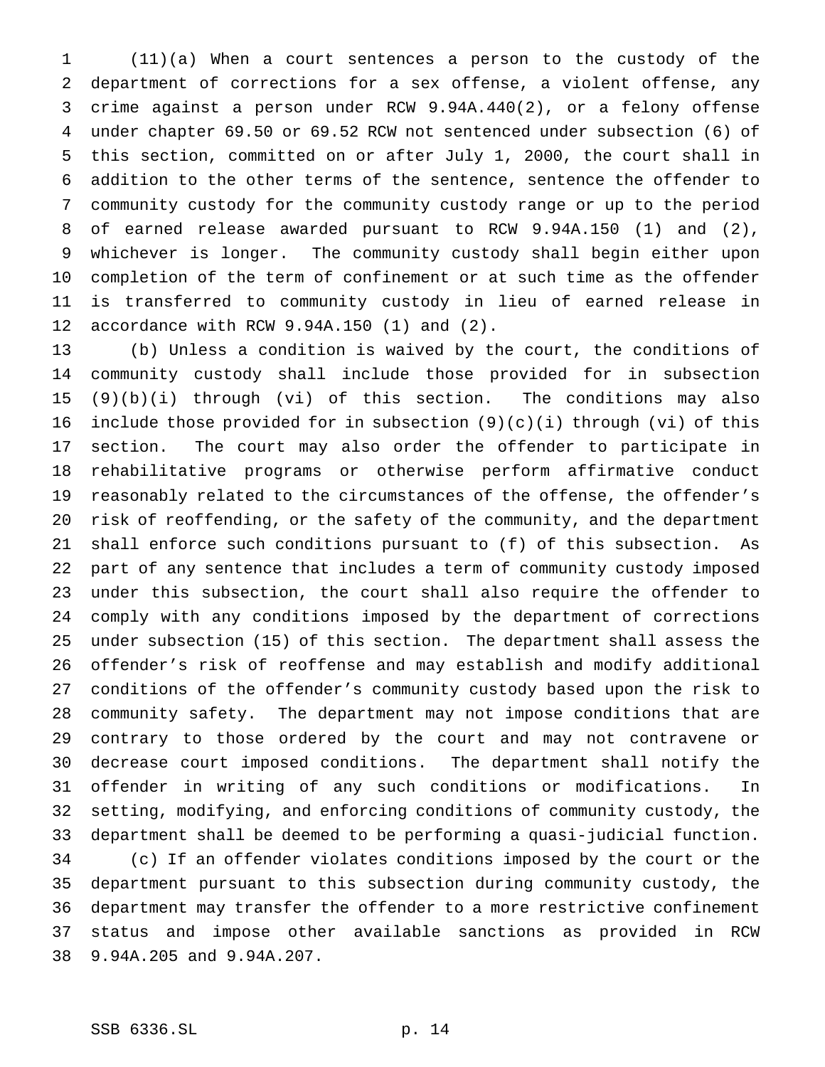(11)(a) When a court sentences a person to the custody of the department of corrections for a sex offense, a violent offense, any crime against a person under RCW 9.94A.440(2), or a felony offense under chapter 69.50 or 69.52 RCW not sentenced under subsection (6) of this section, committed on or after July 1, 2000, the court shall in addition to the other terms of the sentence, sentence the offender to community custody for the community custody range or up to the period of earned release awarded pursuant to RCW 9.94A.150 (1) and (2), whichever is longer. The community custody shall begin either upon completion of the term of confinement or at such time as the offender is transferred to community custody in lieu of earned release in accordance with RCW 9.94A.150 (1) and (2).

 (b) Unless a condition is waived by the court, the conditions of community custody shall include those provided for in subsection (9)(b)(i) through (vi) of this section. The conditions may also 16 include those provided for in subsection  $(9)(c)(i)$  through (vi) of this section. The court may also order the offender to participate in rehabilitative programs or otherwise perform affirmative conduct reasonably related to the circumstances of the offense, the offender's risk of reoffending, or the safety of the community, and the department shall enforce such conditions pursuant to (f) of this subsection. As part of any sentence that includes a term of community custody imposed under this subsection, the court shall also require the offender to comply with any conditions imposed by the department of corrections under subsection (15) of this section. The department shall assess the offender's risk of reoffense and may establish and modify additional conditions of the offender's community custody based upon the risk to community safety. The department may not impose conditions that are contrary to those ordered by the court and may not contravene or decrease court imposed conditions. The department shall notify the offender in writing of any such conditions or modifications. In setting, modifying, and enforcing conditions of community custody, the department shall be deemed to be performing a quasi-judicial function. (c) If an offender violates conditions imposed by the court or the department pursuant to this subsection during community custody, the department may transfer the offender to a more restrictive confinement status and impose other available sanctions as provided in RCW 9.94A.205 and 9.94A.207.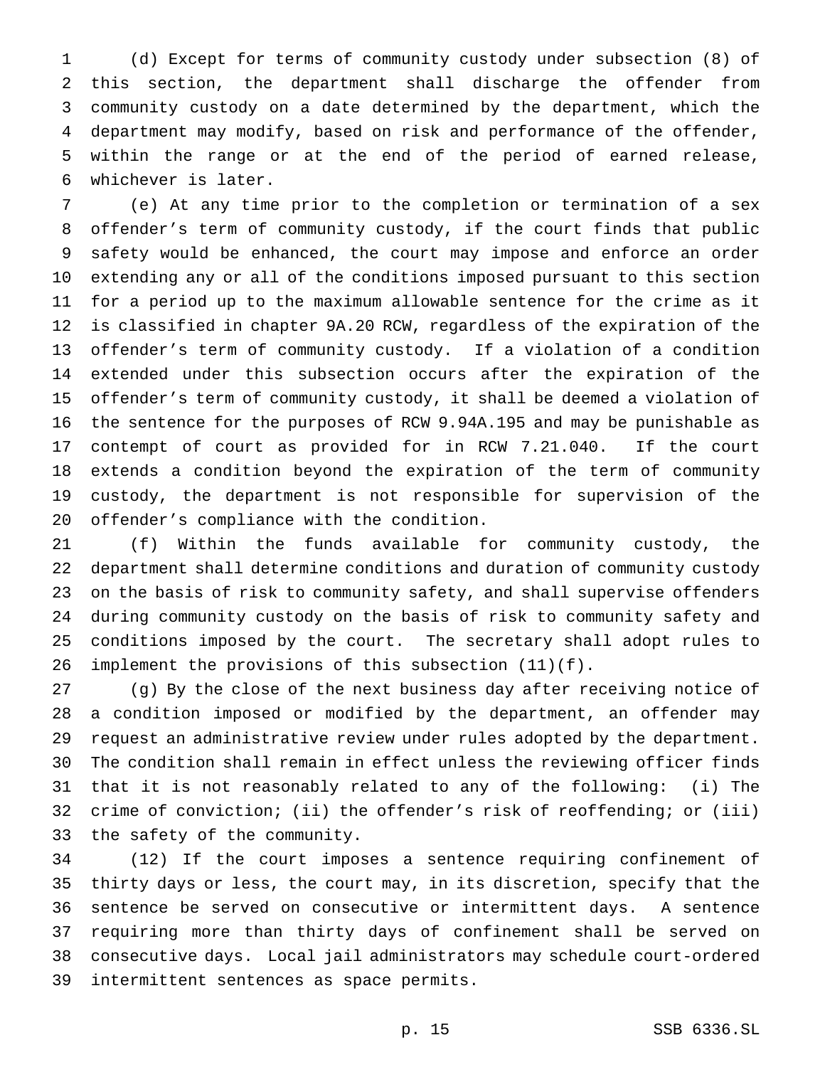(d) Except for terms of community custody under subsection (8) of this section, the department shall discharge the offender from community custody on a date determined by the department, which the department may modify, based on risk and performance of the offender, within the range or at the end of the period of earned release, whichever is later.

 (e) At any time prior to the completion or termination of a sex offender's term of community custody, if the court finds that public safety would be enhanced, the court may impose and enforce an order extending any or all of the conditions imposed pursuant to this section for a period up to the maximum allowable sentence for the crime as it is classified in chapter 9A.20 RCW, regardless of the expiration of the offender's term of community custody. If a violation of a condition extended under this subsection occurs after the expiration of the offender's term of community custody, it shall be deemed a violation of the sentence for the purposes of RCW 9.94A.195 and may be punishable as contempt of court as provided for in RCW 7.21.040. If the court extends a condition beyond the expiration of the term of community custody, the department is not responsible for supervision of the offender's compliance with the condition.

 (f) Within the funds available for community custody, the department shall determine conditions and duration of community custody on the basis of risk to community safety, and shall supervise offenders during community custody on the basis of risk to community safety and conditions imposed by the court. The secretary shall adopt rules to implement the provisions of this subsection (11)(f).

 (g) By the close of the next business day after receiving notice of a condition imposed or modified by the department, an offender may request an administrative review under rules adopted by the department. The condition shall remain in effect unless the reviewing officer finds that it is not reasonably related to any of the following: (i) The crime of conviction; (ii) the offender's risk of reoffending; or (iii) the safety of the community.

 (12) If the court imposes a sentence requiring confinement of thirty days or less, the court may, in its discretion, specify that the sentence be served on consecutive or intermittent days. A sentence requiring more than thirty days of confinement shall be served on consecutive days. Local jail administrators may schedule court-ordered intermittent sentences as space permits.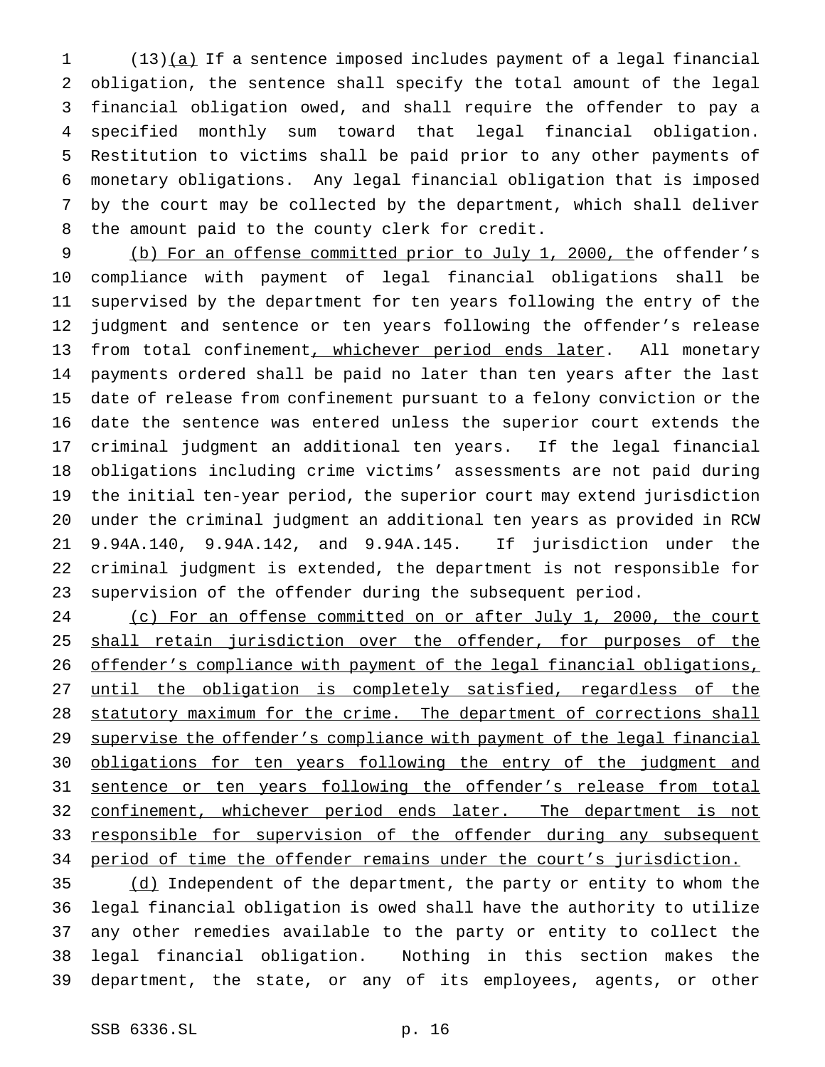(13)(a) If a sentence imposed includes payment of a legal financial obligation, the sentence shall specify the total amount of the legal financial obligation owed, and shall require the offender to pay a specified monthly sum toward that legal financial obligation. Restitution to victims shall be paid prior to any other payments of monetary obligations. Any legal financial obligation that is imposed by the court may be collected by the department, which shall deliver the amount paid to the county clerk for credit.

 (b) For an offense committed prior to July 1, 2000, the offender's compliance with payment of legal financial obligations shall be supervised by the department for ten years following the entry of the judgment and sentence or ten years following the offender's release 13 from total confinement, whichever period ends later. All monetary payments ordered shall be paid no later than ten years after the last date of release from confinement pursuant to a felony conviction or the date the sentence was entered unless the superior court extends the criminal judgment an additional ten years. If the legal financial obligations including crime victims' assessments are not paid during the initial ten-year period, the superior court may extend jurisdiction under the criminal judgment an additional ten years as provided in RCW 9.94A.140, 9.94A.142, and 9.94A.145. If jurisdiction under the criminal judgment is extended, the department is not responsible for supervision of the offender during the subsequent period.

24 (c) For an offense committed on or after July 1, 2000, the court 25 shall retain jurisdiction over the offender, for purposes of the 26 offender's compliance with payment of the legal financial obligations, 27 until the obligation is completely satisfied, regardless of the 28 statutory maximum for the crime. The department of corrections shall 29 supervise the offender's compliance with payment of the legal financial 30 obligations for ten years following the entry of the judgment and 31 sentence or ten years following the offender's release from total 32 confinement, whichever period ends later. The department is not 33 responsible for supervision of the offender during any subsequent 34 period of time the offender remains under the court's jurisdiction.

 (d) Independent of the department, the party or entity to whom the legal financial obligation is owed shall have the authority to utilize any other remedies available to the party or entity to collect the legal financial obligation. Nothing in this section makes the department, the state, or any of its employees, agents, or other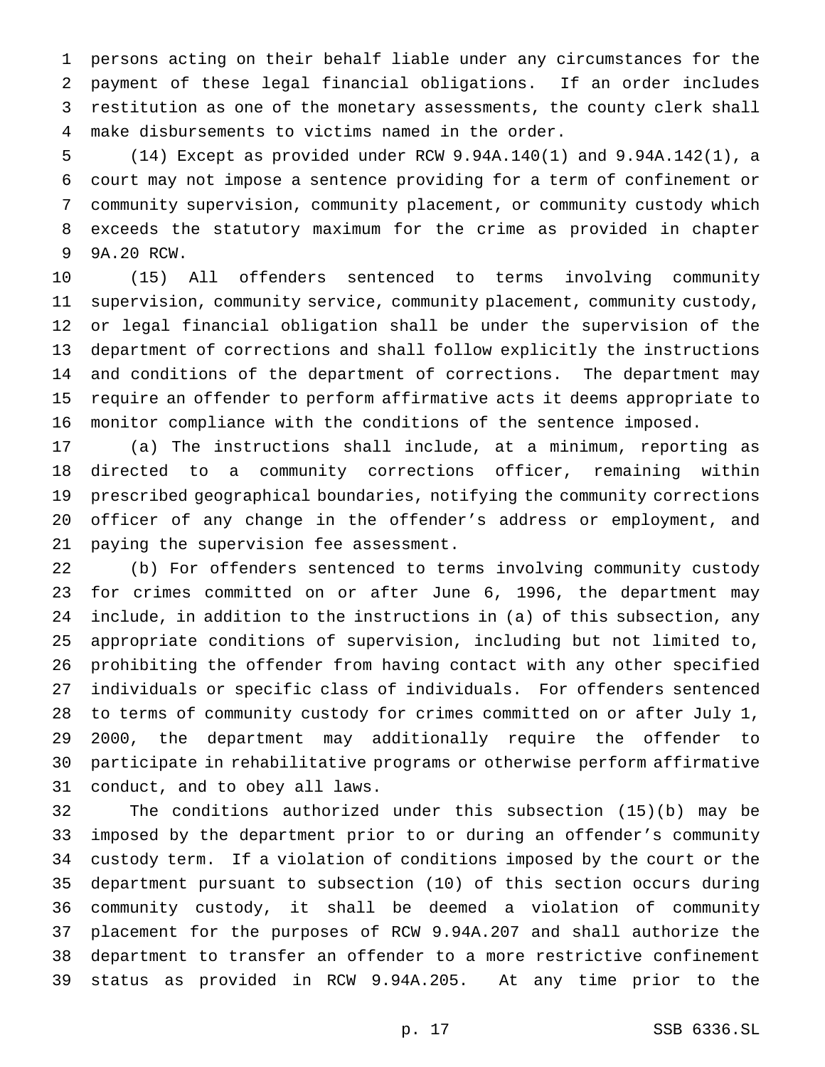persons acting on their behalf liable under any circumstances for the payment of these legal financial obligations. If an order includes restitution as one of the monetary assessments, the county clerk shall make disbursements to victims named in the order.

 (14) Except as provided under RCW 9.94A.140(1) and 9.94A.142(1), a court may not impose a sentence providing for a term of confinement or community supervision, community placement, or community custody which exceeds the statutory maximum for the crime as provided in chapter 9A.20 RCW.

 (15) All offenders sentenced to terms involving community supervision, community service, community placement, community custody, or legal financial obligation shall be under the supervision of the department of corrections and shall follow explicitly the instructions and conditions of the department of corrections. The department may require an offender to perform affirmative acts it deems appropriate to monitor compliance with the conditions of the sentence imposed.

 (a) The instructions shall include, at a minimum, reporting as directed to a community corrections officer, remaining within prescribed geographical boundaries, notifying the community corrections officer of any change in the offender's address or employment, and paying the supervision fee assessment.

 (b) For offenders sentenced to terms involving community custody for crimes committed on or after June 6, 1996, the department may include, in addition to the instructions in (a) of this subsection, any appropriate conditions of supervision, including but not limited to, prohibiting the offender from having contact with any other specified individuals or specific class of individuals. For offenders sentenced to terms of community custody for crimes committed on or after July 1, 2000, the department may additionally require the offender to participate in rehabilitative programs or otherwise perform affirmative conduct, and to obey all laws.

 The conditions authorized under this subsection (15)(b) may be imposed by the department prior to or during an offender's community custody term. If a violation of conditions imposed by the court or the department pursuant to subsection (10) of this section occurs during community custody, it shall be deemed a violation of community placement for the purposes of RCW 9.94A.207 and shall authorize the department to transfer an offender to a more restrictive confinement status as provided in RCW 9.94A.205. At any time prior to the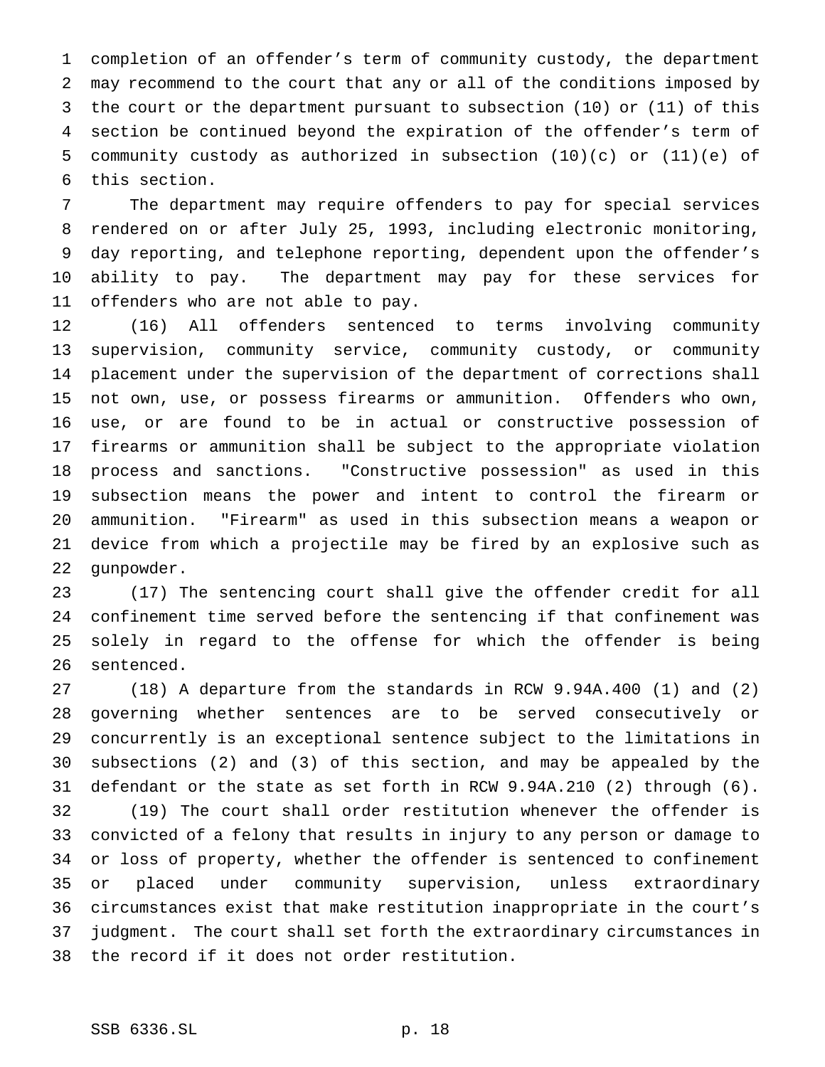completion of an offender's term of community custody, the department may recommend to the court that any or all of the conditions imposed by the court or the department pursuant to subsection (10) or (11) of this section be continued beyond the expiration of the offender's term of community custody as authorized in subsection (10)(c) or (11)(e) of this section.

 The department may require offenders to pay for special services rendered on or after July 25, 1993, including electronic monitoring, day reporting, and telephone reporting, dependent upon the offender's ability to pay. The department may pay for these services for offenders who are not able to pay.

 (16) All offenders sentenced to terms involving community supervision, community service, community custody, or community placement under the supervision of the department of corrections shall not own, use, or possess firearms or ammunition. Offenders who own, use, or are found to be in actual or constructive possession of firearms or ammunition shall be subject to the appropriate violation process and sanctions. "Constructive possession" as used in this subsection means the power and intent to control the firearm or ammunition. "Firearm" as used in this subsection means a weapon or device from which a projectile may be fired by an explosive such as gunpowder.

 (17) The sentencing court shall give the offender credit for all confinement time served before the sentencing if that confinement was solely in regard to the offense for which the offender is being sentenced.

 (18) A departure from the standards in RCW 9.94A.400 (1) and (2) governing whether sentences are to be served consecutively or concurrently is an exceptional sentence subject to the limitations in subsections (2) and (3) of this section, and may be appealed by the defendant or the state as set forth in RCW 9.94A.210 (2) through (6). (19) The court shall order restitution whenever the offender is convicted of a felony that results in injury to any person or damage to or loss of property, whether the offender is sentenced to confinement or placed under community supervision, unless extraordinary circumstances exist that make restitution inappropriate in the court's judgment. The court shall set forth the extraordinary circumstances in the record if it does not order restitution.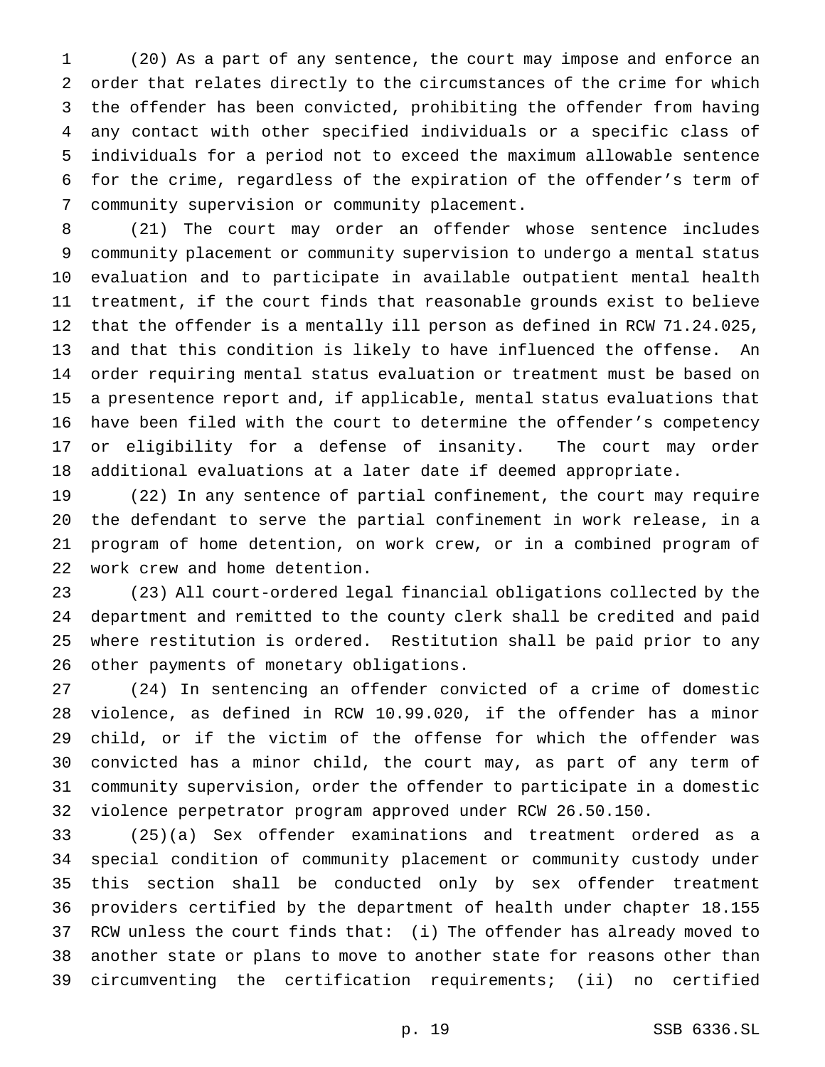(20) As a part of any sentence, the court may impose and enforce an order that relates directly to the circumstances of the crime for which the offender has been convicted, prohibiting the offender from having any contact with other specified individuals or a specific class of individuals for a period not to exceed the maximum allowable sentence for the crime, regardless of the expiration of the offender's term of community supervision or community placement.

 (21) The court may order an offender whose sentence includes community placement or community supervision to undergo a mental status evaluation and to participate in available outpatient mental health treatment, if the court finds that reasonable grounds exist to believe that the offender is a mentally ill person as defined in RCW 71.24.025, and that this condition is likely to have influenced the offense. An order requiring mental status evaluation or treatment must be based on a presentence report and, if applicable, mental status evaluations that have been filed with the court to determine the offender's competency or eligibility for a defense of insanity. The court may order additional evaluations at a later date if deemed appropriate.

 (22) In any sentence of partial confinement, the court may require the defendant to serve the partial confinement in work release, in a program of home detention, on work crew, or in a combined program of work crew and home detention.

 (23) All court-ordered legal financial obligations collected by the department and remitted to the county clerk shall be credited and paid where restitution is ordered. Restitution shall be paid prior to any other payments of monetary obligations.

 (24) In sentencing an offender convicted of a crime of domestic violence, as defined in RCW 10.99.020, if the offender has a minor child, or if the victim of the offense for which the offender was convicted has a minor child, the court may, as part of any term of community supervision, order the offender to participate in a domestic violence perpetrator program approved under RCW 26.50.150.

 (25)(a) Sex offender examinations and treatment ordered as a special condition of community placement or community custody under this section shall be conducted only by sex offender treatment providers certified by the department of health under chapter 18.155 RCW unless the court finds that: (i) The offender has already moved to another state or plans to move to another state for reasons other than circumventing the certification requirements; (ii) no certified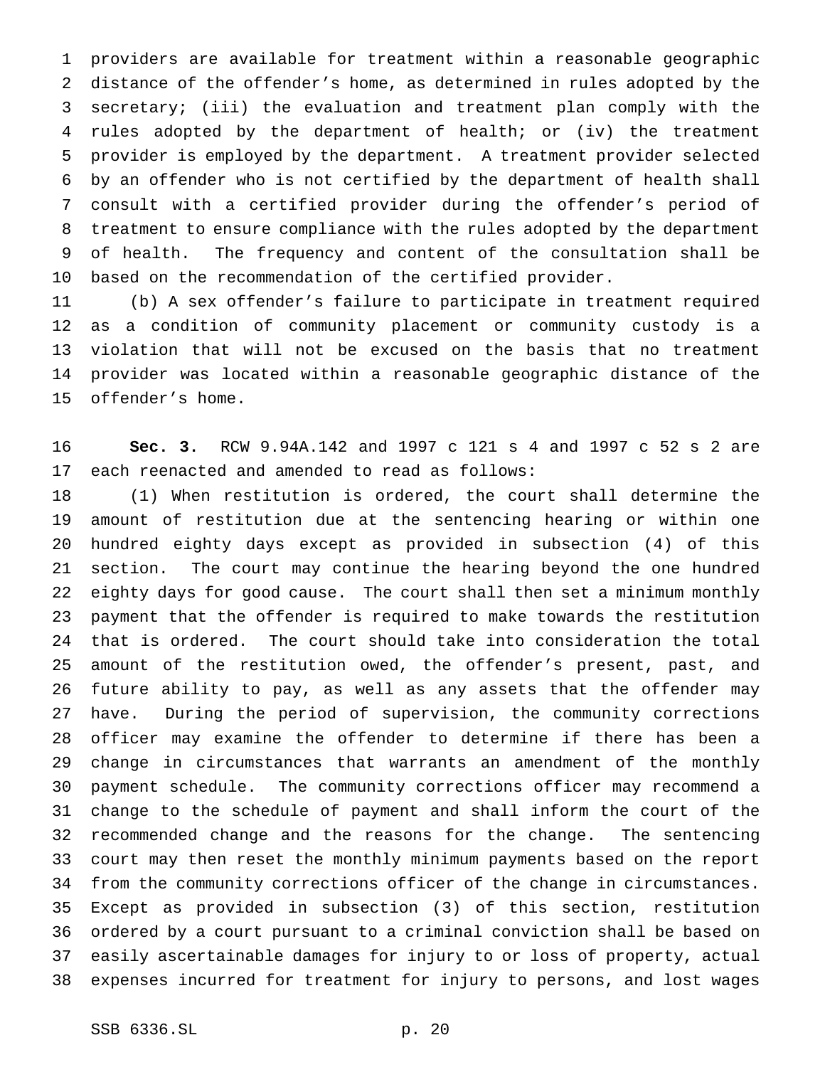providers are available for treatment within a reasonable geographic distance of the offender's home, as determined in rules adopted by the secretary; (iii) the evaluation and treatment plan comply with the rules adopted by the department of health; or (iv) the treatment provider is employed by the department. A treatment provider selected by an offender who is not certified by the department of health shall consult with a certified provider during the offender's period of treatment to ensure compliance with the rules adopted by the department of health. The frequency and content of the consultation shall be based on the recommendation of the certified provider.

 (b) A sex offender's failure to participate in treatment required as a condition of community placement or community custody is a violation that will not be excused on the basis that no treatment provider was located within a reasonable geographic distance of the offender's home.

 **Sec. 3.** RCW 9.94A.142 and 1997 c 121 s 4 and 1997 c 52 s 2 are each reenacted and amended to read as follows:

 (1) When restitution is ordered, the court shall determine the amount of restitution due at the sentencing hearing or within one hundred eighty days except as provided in subsection (4) of this section. The court may continue the hearing beyond the one hundred eighty days for good cause. The court shall then set a minimum monthly payment that the offender is required to make towards the restitution that is ordered. The court should take into consideration the total amount of the restitution owed, the offender's present, past, and future ability to pay, as well as any assets that the offender may have. During the period of supervision, the community corrections officer may examine the offender to determine if there has been a change in circumstances that warrants an amendment of the monthly payment schedule. The community corrections officer may recommend a change to the schedule of payment and shall inform the court of the recommended change and the reasons for the change. The sentencing court may then reset the monthly minimum payments based on the report from the community corrections officer of the change in circumstances. Except as provided in subsection (3) of this section, restitution ordered by a court pursuant to a criminal conviction shall be based on easily ascertainable damages for injury to or loss of property, actual expenses incurred for treatment for injury to persons, and lost wages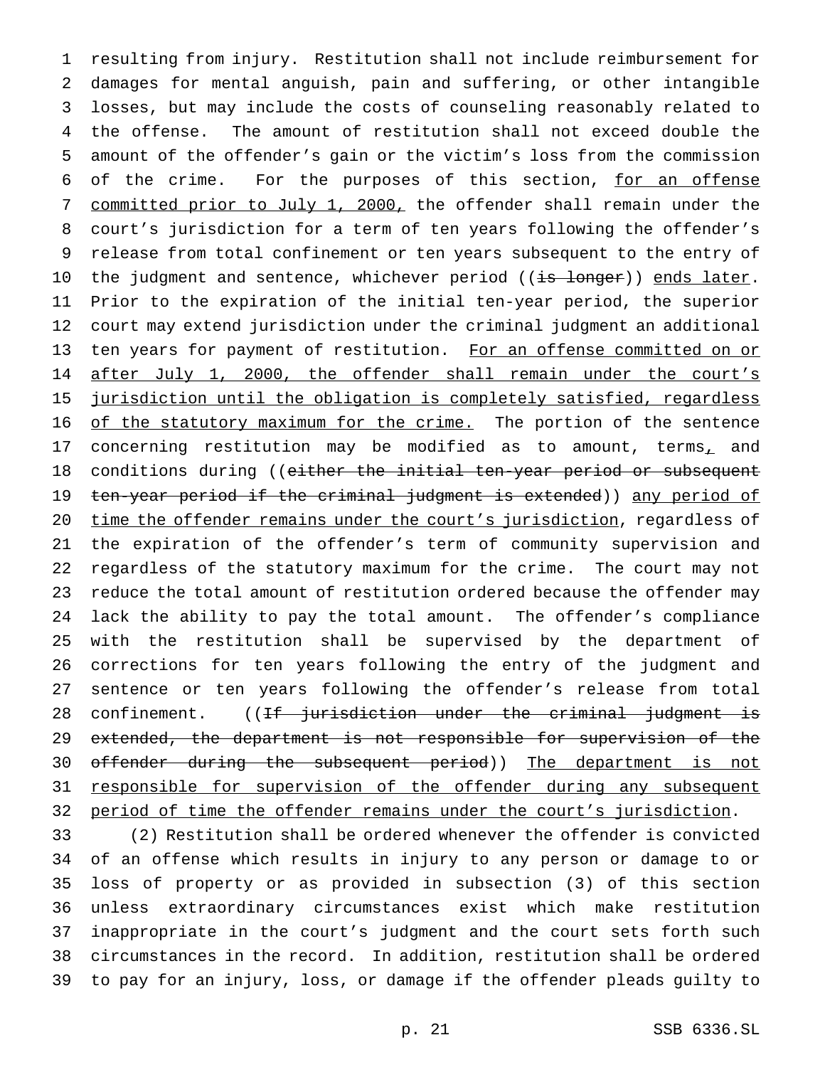resulting from injury. Restitution shall not include reimbursement for damages for mental anguish, pain and suffering, or other intangible losses, but may include the costs of counseling reasonably related to the offense. The amount of restitution shall not exceed double the amount of the offender's gain or the victim's loss from the commission 6 of the crime. For the purposes of this section, for an offense 7 committed prior to July 1, 2000, the offender shall remain under the court's jurisdiction for a term of ten years following the offender's release from total confinement or ten years subsequent to the entry of 10 the judgment and sentence, whichever period ((is longer)) ends later. Prior to the expiration of the initial ten-year period, the superior court may extend jurisdiction under the criminal judgment an additional 13 ten years for payment of restitution. For an offense committed on or 14 after July 1, 2000, the offender shall remain under the court's jurisdiction until the obligation is completely satisfied, regardless 16 of the statutory maximum for the crime. The portion of the sentence 17 concerning restitution may be modified as to amount, terms, and 18 conditions during ((either the initial ten-year period or subsequent 19 ten-year period if the criminal judgment is extended)) any period of time the offender remains under the court's jurisdiction, regardless of the expiration of the offender's term of community supervision and regardless of the statutory maximum for the crime. The court may not reduce the total amount of restitution ordered because the offender may lack the ability to pay the total amount. The offender's compliance with the restitution shall be supervised by the department of corrections for ten years following the entry of the judgment and sentence or ten years following the offender's release from total 28 confinement. ((If jurisdiction under the criminal judgment is extended, the department is not responsible for supervision of the 30 offender during the subsequent period)) The department is not responsible for supervision of the offender during any subsequent 32 period of time the offender remains under the court's jurisdiction.

 (2) Restitution shall be ordered whenever the offender is convicted of an offense which results in injury to any person or damage to or loss of property or as provided in subsection (3) of this section unless extraordinary circumstances exist which make restitution inappropriate in the court's judgment and the court sets forth such circumstances in the record. In addition, restitution shall be ordered to pay for an injury, loss, or damage if the offender pleads guilty to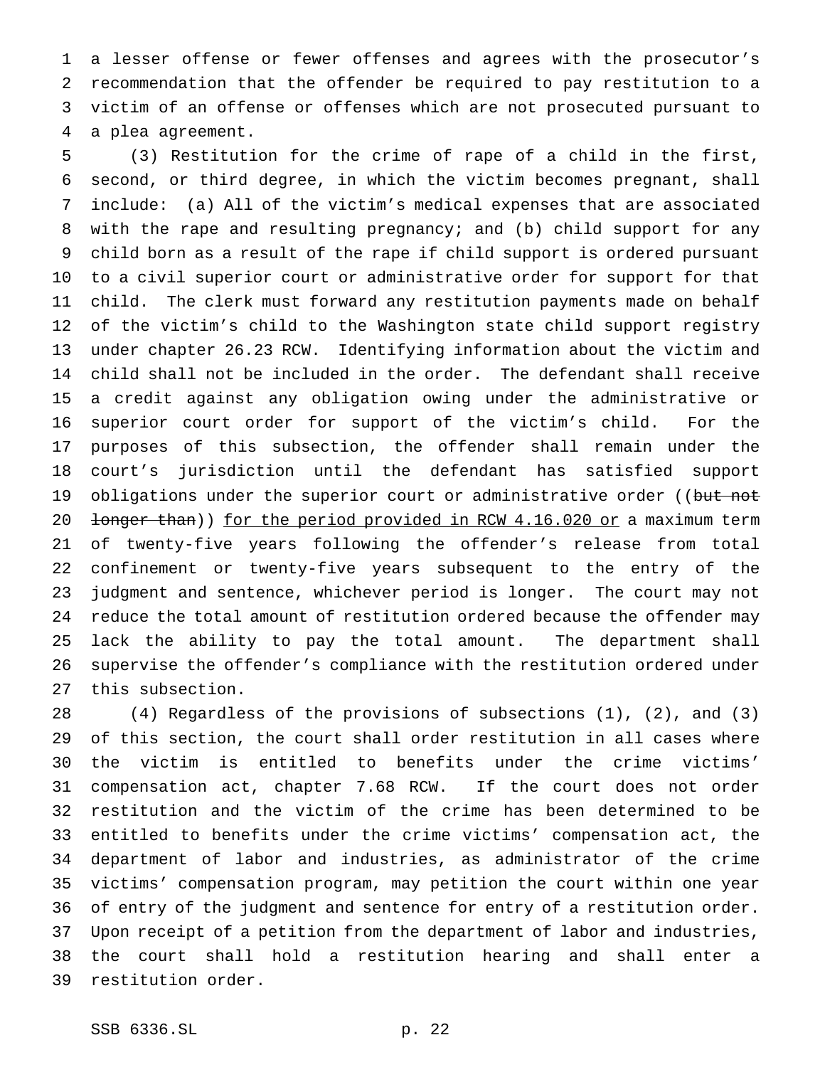a lesser offense or fewer offenses and agrees with the prosecutor's recommendation that the offender be required to pay restitution to a victim of an offense or offenses which are not prosecuted pursuant to a plea agreement.

 (3) Restitution for the crime of rape of a child in the first, second, or third degree, in which the victim becomes pregnant, shall include: (a) All of the victim's medical expenses that are associated with the rape and resulting pregnancy; and (b) child support for any child born as a result of the rape if child support is ordered pursuant to a civil superior court or administrative order for support for that child. The clerk must forward any restitution payments made on behalf of the victim's child to the Washington state child support registry under chapter 26.23 RCW. Identifying information about the victim and child shall not be included in the order. The defendant shall receive a credit against any obligation owing under the administrative or superior court order for support of the victim's child. For the purposes of this subsection, the offender shall remain under the court's jurisdiction until the defendant has satisfied support 19 obligations under the superior court or administrative order ((but not 20 <del>longer than</del>)) for the period provided in RCW 4.16.020 or a maximum term of twenty-five years following the offender's release from total confinement or twenty-five years subsequent to the entry of the judgment and sentence, whichever period is longer. The court may not reduce the total amount of restitution ordered because the offender may lack the ability to pay the total amount. The department shall supervise the offender's compliance with the restitution ordered under this subsection.

 (4) Regardless of the provisions of subsections (1), (2), and (3) of this section, the court shall order restitution in all cases where the victim is entitled to benefits under the crime victims' compensation act, chapter 7.68 RCW. If the court does not order restitution and the victim of the crime has been determined to be entitled to benefits under the crime victims' compensation act, the department of labor and industries, as administrator of the crime victims' compensation program, may petition the court within one year of entry of the judgment and sentence for entry of a restitution order. Upon receipt of a petition from the department of labor and industries, the court shall hold a restitution hearing and shall enter a restitution order.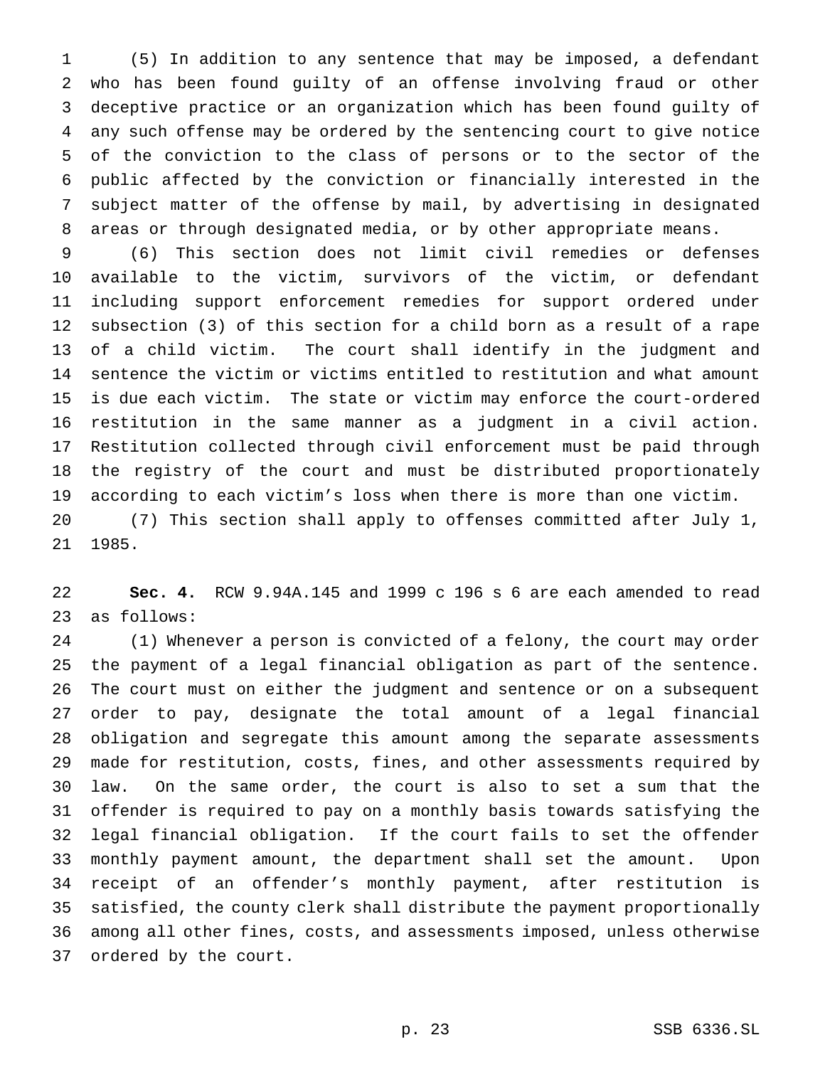(5) In addition to any sentence that may be imposed, a defendant who has been found guilty of an offense involving fraud or other deceptive practice or an organization which has been found guilty of any such offense may be ordered by the sentencing court to give notice of the conviction to the class of persons or to the sector of the public affected by the conviction or financially interested in the subject matter of the offense by mail, by advertising in designated areas or through designated media, or by other appropriate means.

 (6) This section does not limit civil remedies or defenses available to the victim, survivors of the victim, or defendant including support enforcement remedies for support ordered under subsection (3) of this section for a child born as a result of a rape of a child victim. The court shall identify in the judgment and sentence the victim or victims entitled to restitution and what amount is due each victim. The state or victim may enforce the court-ordered restitution in the same manner as a judgment in a civil action. Restitution collected through civil enforcement must be paid through the registry of the court and must be distributed proportionately according to each victim's loss when there is more than one victim. (7) This section shall apply to offenses committed after July 1, 1985.

 **Sec. 4.** RCW 9.94A.145 and 1999 c 196 s 6 are each amended to read as follows:

 (1) Whenever a person is convicted of a felony, the court may order the payment of a legal financial obligation as part of the sentence. The court must on either the judgment and sentence or on a subsequent order to pay, designate the total amount of a legal financial obligation and segregate this amount among the separate assessments made for restitution, costs, fines, and other assessments required by law. On the same order, the court is also to set a sum that the offender is required to pay on a monthly basis towards satisfying the legal financial obligation. If the court fails to set the offender monthly payment amount, the department shall set the amount. Upon receipt of an offender's monthly payment, after restitution is satisfied, the county clerk shall distribute the payment proportionally among all other fines, costs, and assessments imposed, unless otherwise ordered by the court.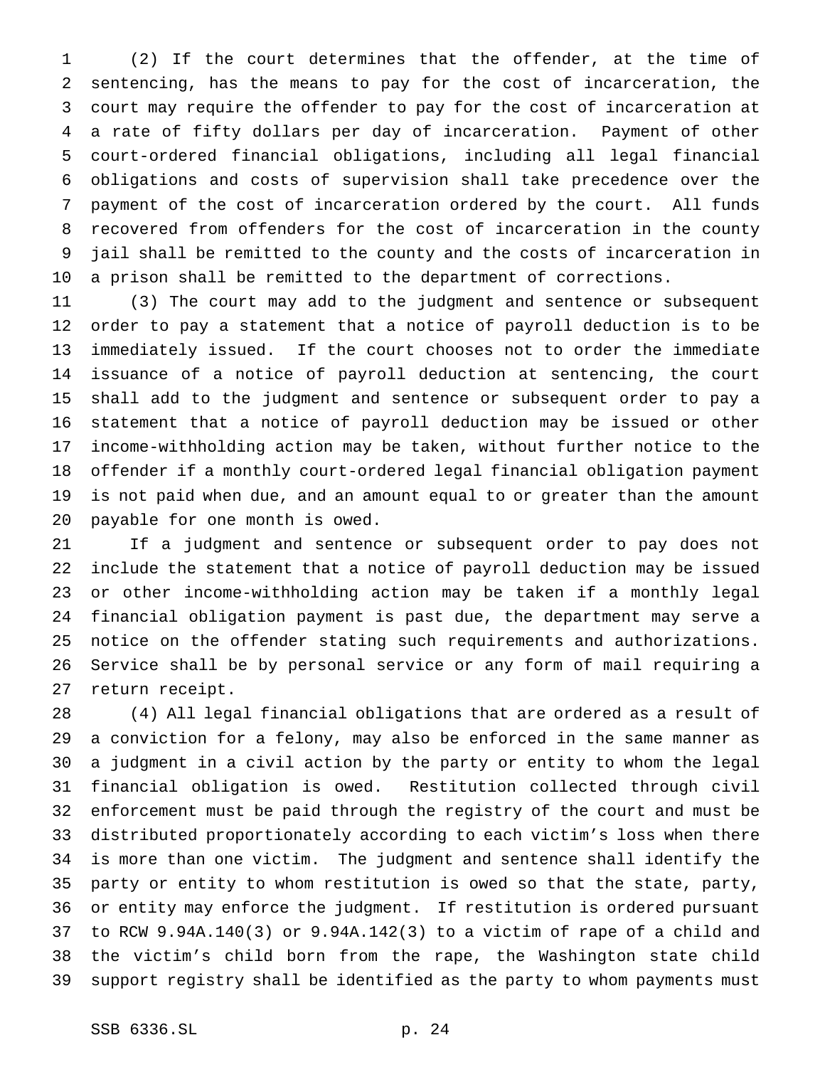(2) If the court determines that the offender, at the time of sentencing, has the means to pay for the cost of incarceration, the court may require the offender to pay for the cost of incarceration at a rate of fifty dollars per day of incarceration. Payment of other court-ordered financial obligations, including all legal financial obligations and costs of supervision shall take precedence over the payment of the cost of incarceration ordered by the court. All funds recovered from offenders for the cost of incarceration in the county jail shall be remitted to the county and the costs of incarceration in a prison shall be remitted to the department of corrections.

 (3) The court may add to the judgment and sentence or subsequent order to pay a statement that a notice of payroll deduction is to be immediately issued. If the court chooses not to order the immediate issuance of a notice of payroll deduction at sentencing, the court shall add to the judgment and sentence or subsequent order to pay a statement that a notice of payroll deduction may be issued or other income-withholding action may be taken, without further notice to the offender if a monthly court-ordered legal financial obligation payment is not paid when due, and an amount equal to or greater than the amount payable for one month is owed.

 If a judgment and sentence or subsequent order to pay does not include the statement that a notice of payroll deduction may be issued or other income-withholding action may be taken if a monthly legal financial obligation payment is past due, the department may serve a notice on the offender stating such requirements and authorizations. Service shall be by personal service or any form of mail requiring a return receipt.

 (4) All legal financial obligations that are ordered as a result of a conviction for a felony, may also be enforced in the same manner as a judgment in a civil action by the party or entity to whom the legal financial obligation is owed. Restitution collected through civil enforcement must be paid through the registry of the court and must be distributed proportionately according to each victim's loss when there is more than one victim. The judgment and sentence shall identify the party or entity to whom restitution is owed so that the state, party, or entity may enforce the judgment. If restitution is ordered pursuant to RCW 9.94A.140(3) or 9.94A.142(3) to a victim of rape of a child and the victim's child born from the rape, the Washington state child support registry shall be identified as the party to whom payments must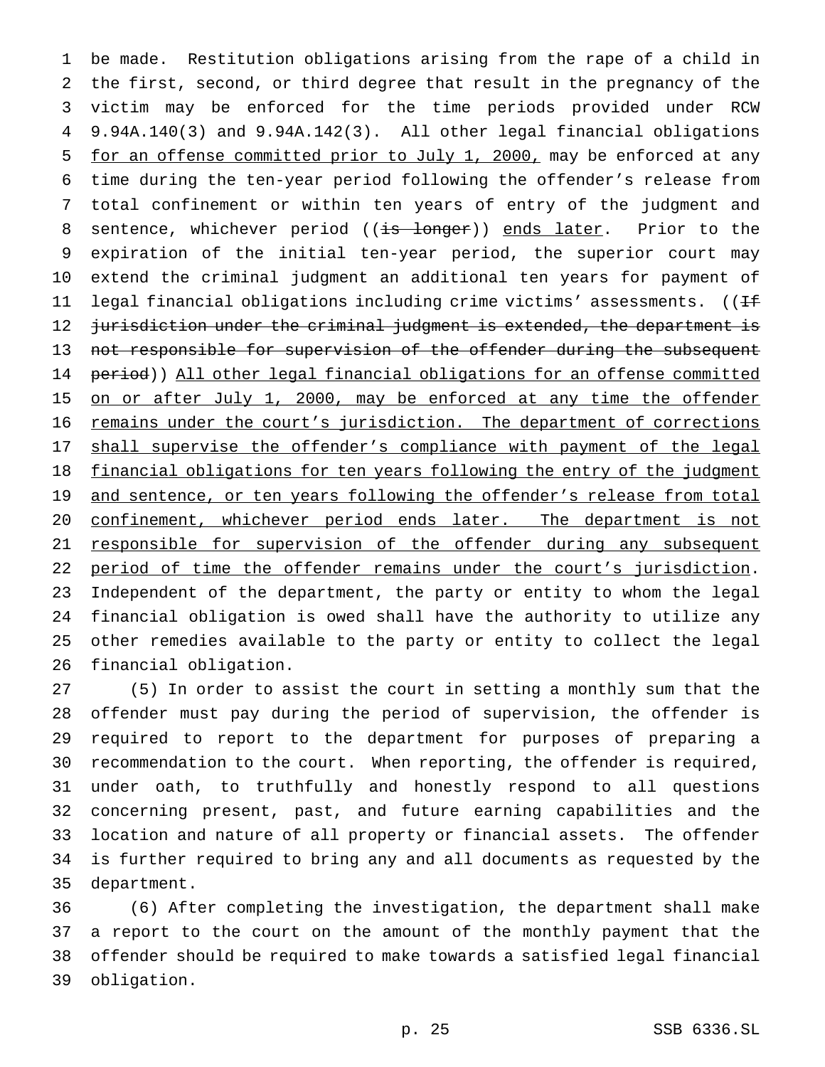be made. Restitution obligations arising from the rape of a child in the first, second, or third degree that result in the pregnancy of the victim may be enforced for the time periods provided under RCW 9.94A.140(3) and 9.94A.142(3). All other legal financial obligations 5 for an offense committed prior to July 1, 2000, may be enforced at any time during the ten-year period following the offender's release from total confinement or within ten years of entry of the judgment and 8 sentence, whichever period ((is longer)) ends later. Prior to the expiration of the initial ten-year period, the superior court may extend the criminal judgment an additional ten years for payment of 11 legal financial obligations including crime victims' assessments. (( $\pm$ 12 jurisdiction under the criminal judgment is extended, the department is 13 not responsible for supervision of the offender during the subsequent 14 period)) All other legal financial obligations for an offense committed 15 on or after July 1, 2000, may be enforced at any time the offender remains under the court's jurisdiction. The department of corrections 17 shall supervise the offender's compliance with payment of the legal 18 financial obligations for ten years following the entry of the judgment 19 and sentence, or ten years following the offender's release from total confinement, whichever period ends later. The department is not 21 responsible for supervision of the offender during any subsequent 22 period of time the offender remains under the court's jurisdiction. Independent of the department, the party or entity to whom the legal financial obligation is owed shall have the authority to utilize any other remedies available to the party or entity to collect the legal financial obligation.

 (5) In order to assist the court in setting a monthly sum that the offender must pay during the period of supervision, the offender is required to report to the department for purposes of preparing a recommendation to the court. When reporting, the offender is required, under oath, to truthfully and honestly respond to all questions concerning present, past, and future earning capabilities and the location and nature of all property or financial assets. The offender is further required to bring any and all documents as requested by the department.

 (6) After completing the investigation, the department shall make a report to the court on the amount of the monthly payment that the offender should be required to make towards a satisfied legal financial obligation.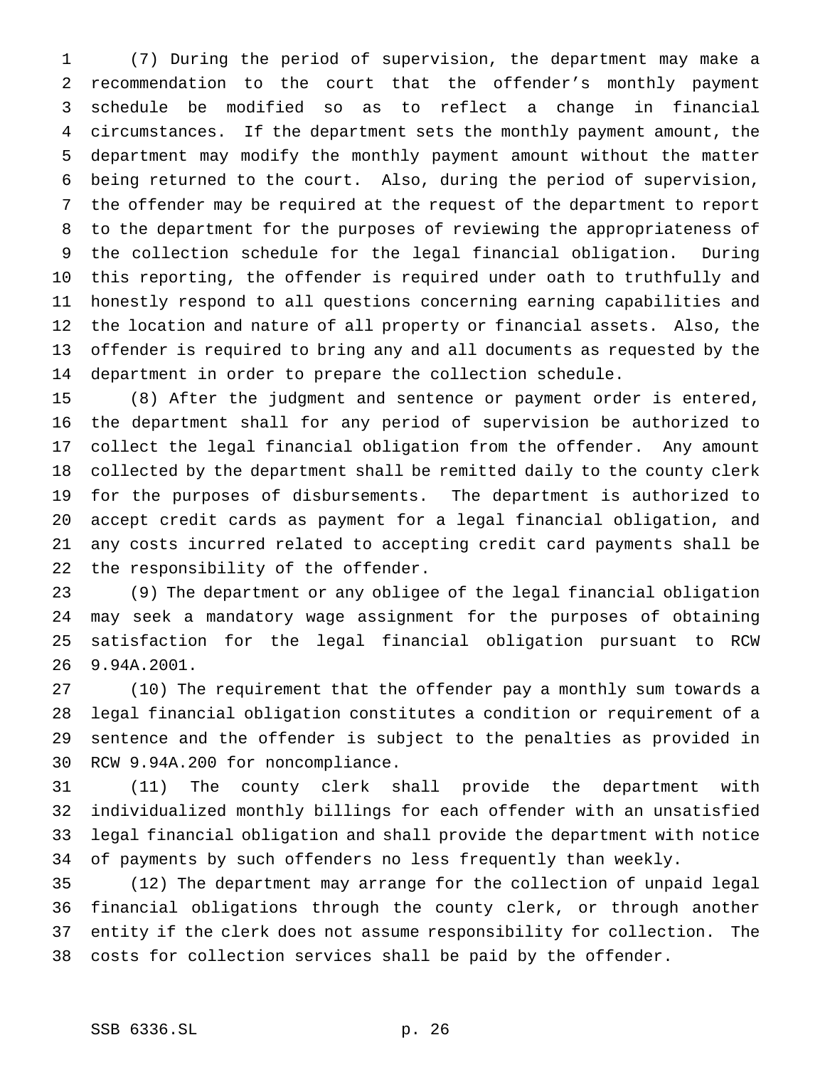(7) During the period of supervision, the department may make a recommendation to the court that the offender's monthly payment schedule be modified so as to reflect a change in financial circumstances. If the department sets the monthly payment amount, the department may modify the monthly payment amount without the matter being returned to the court. Also, during the period of supervision, the offender may be required at the request of the department to report to the department for the purposes of reviewing the appropriateness of the collection schedule for the legal financial obligation. During this reporting, the offender is required under oath to truthfully and honestly respond to all questions concerning earning capabilities and the location and nature of all property or financial assets. Also, the offender is required to bring any and all documents as requested by the department in order to prepare the collection schedule.

 (8) After the judgment and sentence or payment order is entered, the department shall for any period of supervision be authorized to collect the legal financial obligation from the offender. Any amount collected by the department shall be remitted daily to the county clerk for the purposes of disbursements. The department is authorized to accept credit cards as payment for a legal financial obligation, and any costs incurred related to accepting credit card payments shall be the responsibility of the offender.

 (9) The department or any obligee of the legal financial obligation may seek a mandatory wage assignment for the purposes of obtaining satisfaction for the legal financial obligation pursuant to RCW 9.94A.2001.

 (10) The requirement that the offender pay a monthly sum towards a legal financial obligation constitutes a condition or requirement of a sentence and the offender is subject to the penalties as provided in RCW 9.94A.200 for noncompliance.

 (11) The county clerk shall provide the department with individualized monthly billings for each offender with an unsatisfied legal financial obligation and shall provide the department with notice of payments by such offenders no less frequently than weekly.

 (12) The department may arrange for the collection of unpaid legal financial obligations through the county clerk, or through another entity if the clerk does not assume responsibility for collection. The costs for collection services shall be paid by the offender.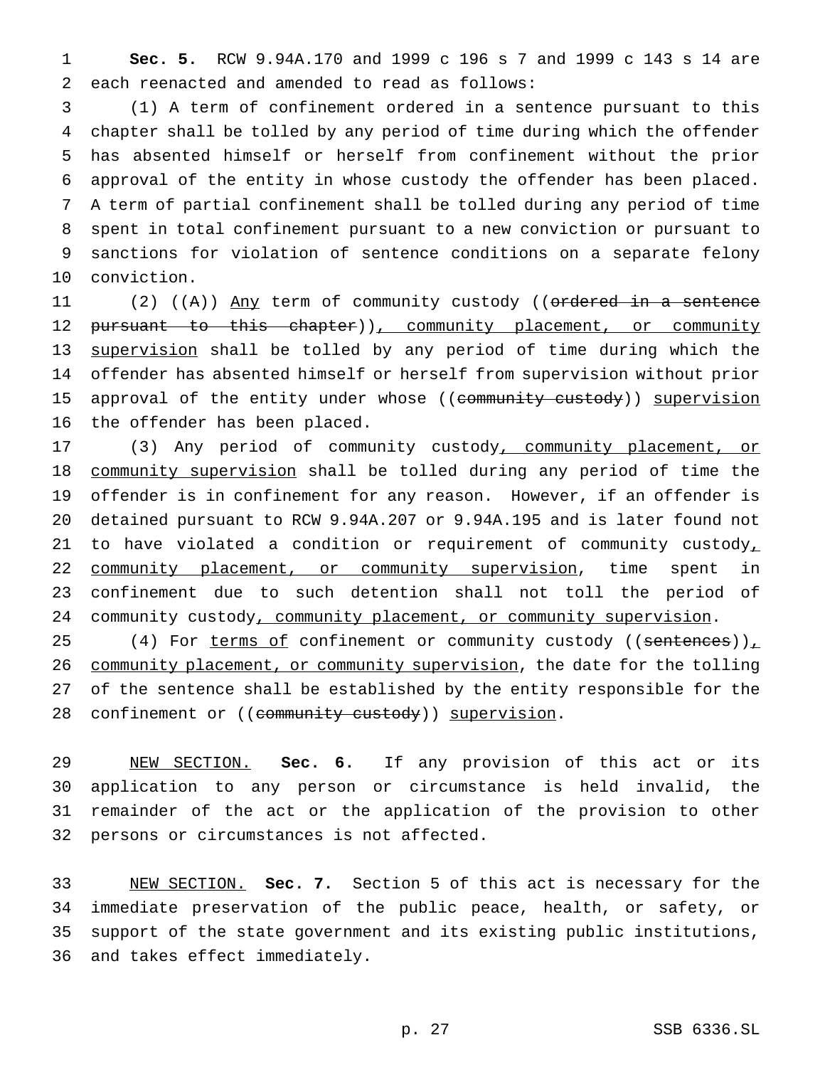**Sec. 5.** RCW 9.94A.170 and 1999 c 196 s 7 and 1999 c 143 s 14 are each reenacted and amended to read as follows:

 (1) A term of confinement ordered in a sentence pursuant to this chapter shall be tolled by any period of time during which the offender has absented himself or herself from confinement without the prior approval of the entity in whose custody the offender has been placed. A term of partial confinement shall be tolled during any period of time spent in total confinement pursuant to a new conviction or pursuant to sanctions for violation of sentence conditions on a separate felony conviction.

11 (2) ((A)) Any term of community custody ((ordered in a sentence 12 pursuant to this chapter)), community placement, or community supervision shall be tolled by any period of time during which the offender has absented himself or herself from supervision without prior 15 approval of the entity under whose ((community custody)) supervision the offender has been placed.

17 (3) Any period of community custody, community placement, or community supervision shall be tolled during any period of time the offender is in confinement for any reason. However, if an offender is detained pursuant to RCW 9.94A.207 or 9.94A.195 and is later found not 21 to have violated a condition or requirement of community custody, 22 community placement, or community supervision, time spent in confinement due to such detention shall not toll the period of 24 community custody, community placement, or community supervision.

25 (4) For terms of confinement or community custody ((sentences)), 26 community placement, or community supervision, the date for the tolling of the sentence shall be established by the entity responsible for the 28 confinement or ((community custody)) supervision.

 NEW SECTION. **Sec. 6.** If any provision of this act or its application to any person or circumstance is held invalid, the remainder of the act or the application of the provision to other persons or circumstances is not affected.

 NEW SECTION. **Sec. 7.** Section 5 of this act is necessary for the immediate preservation of the public peace, health, or safety, or support of the state government and its existing public institutions, and takes effect immediately.